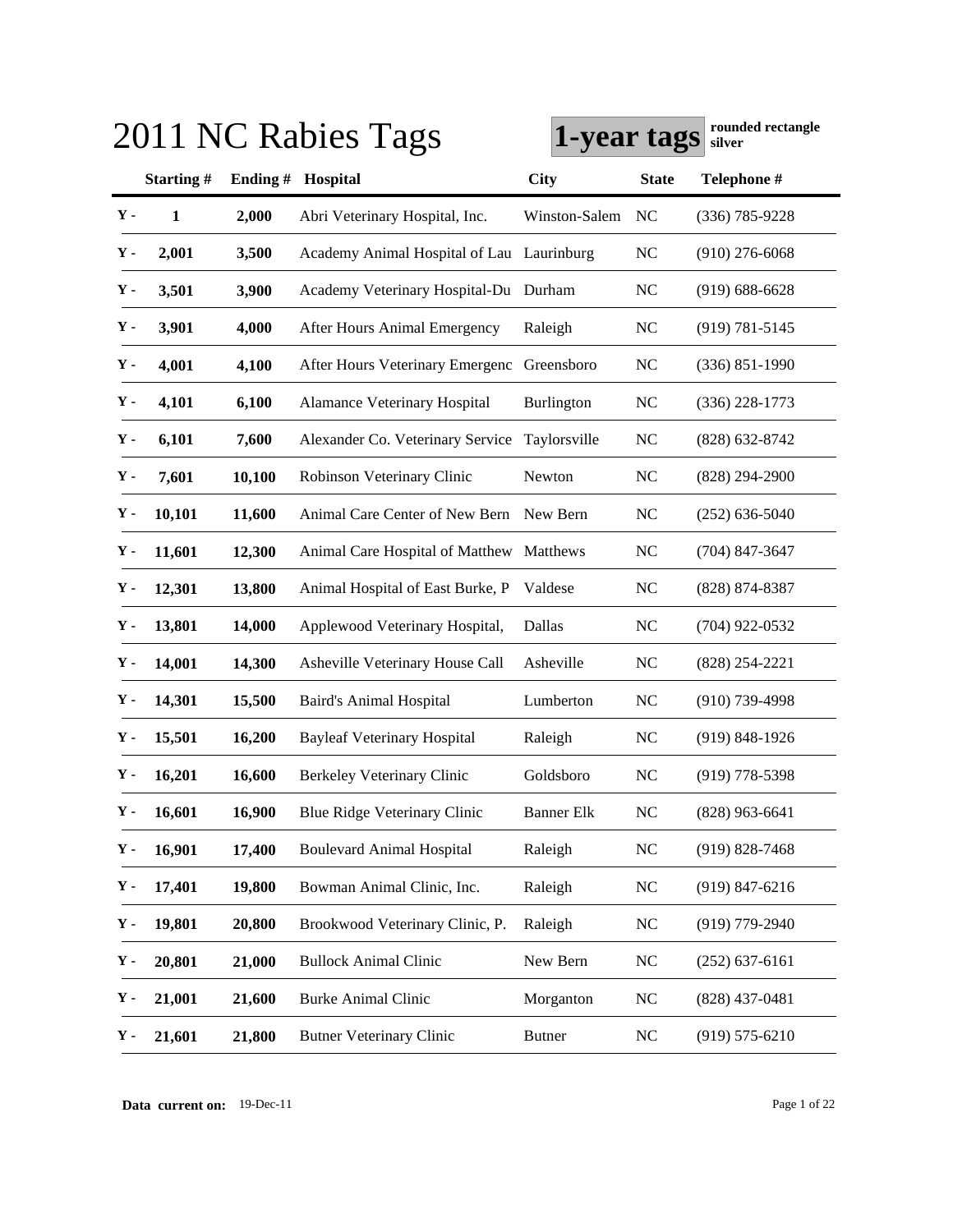|             |              |         | 2011 NC Rabies Tags                       | 1-year tags       |              | rounded rectangle<br>silver |
|-------------|--------------|---------|-------------------------------------------|-------------------|--------------|-----------------------------|
|             | Starting#    | Ending# | Hospital                                  | <b>City</b>       | <b>State</b> | Telephone #                 |
| $Y -$       | $\mathbf{1}$ | 2,000   | Abri Veterinary Hospital, Inc.            | Winston-Salem     | NC           | $(336) 785 - 9228$          |
| Υ.          | 2,001        | 3,500   | Academy Animal Hospital of Lau Laurinburg |                   | <b>NC</b>    | $(910)$ 276-6068            |
| ${\bf Y}$ - | 3,501        | 3,900   | Academy Veterinary Hospital-Du Durham     |                   | <b>NC</b>    | $(919) 688 - 6628$          |
| ${\bf Y}$ - | 3,901        | 4,000   | After Hours Animal Emergency              | Raleigh           | <b>NC</b>    | $(919) 781 - 5145$          |
| Υ.          | 4,001        | 4,100   | After Hours Veterinary Emergenc           | Greensboro        | <b>NC</b>    | $(336) 851 - 1990$          |
| ${\bf Y}$ - | 4,101        | 6,100   | <b>Alamance Veterinary Hospital</b>       | Burlington        | <b>NC</b>    | $(336)$ 228-1773            |
| ${\bf Y}$ - | 6,101        | 7,600   | Alexander Co. Veterinary Service          | Taylorsville      | <b>NC</b>    | $(828) 632 - 8742$          |
| Υ.          | 7,601        | 10,100  | Robinson Veterinary Clinic                | Newton            | <b>NC</b>    | $(828) 294 - 2900$          |
| Υ.          | 10,101       | 11,600  | Animal Care Center of New Bern            | New Bern          | <b>NC</b>    | $(252) 636 - 5040$          |
| Υ.          | 11,601       | 12,300  | Animal Care Hospital of Matthew           | Matthews          | <b>NC</b>    | $(704)$ 847-3647            |
| Υ.          | 12,301       | 13,800  | Animal Hospital of East Burke, P          | Valdese           | <b>NC</b>    | $(828)$ 874-8387            |
| Υ.          | 13,801       | 14,000  | Applewood Veterinary Hospital,            | Dallas            | <b>NC</b>    | $(704)$ 922-0532            |
| Υ.          | 14,001       | 14,300  | Asheville Veterinary House Call           | Asheville         | <b>NC</b>    | $(828)$ 254-2221            |
| Υ.          | 14,301       | 15,500  | <b>Baird's Animal Hospital</b>            | Lumberton         | <b>NC</b>    | $(910)$ 739-4998            |
| Υ.          | 15,501       | 16,200  | <b>Bayleaf Veterinary Hospital</b>        | Raleigh           | <b>NC</b>    | $(919) 848 - 1926$          |
| Υ.          | 16,201       | 16,600  | <b>Berkeley Veterinary Clinic</b>         | Goldsboro         | <b>NC</b>    | $(919)$ 778-5398            |
| ${\bf Y}$ - | 16,601       | 16,900  | <b>Blue Ridge Veterinary Clinic</b>       | <b>Banner Elk</b> | NC           | $(828)$ 963-6641            |
| Υ.          | 16,901       | 17,400  | <b>Boulevard Animal Hospital</b>          | Raleigh           | NC           | $(919) 828 - 7468$          |
| Υ.          | 17,401       | 19,800  | Bowman Animal Clinic, Inc.                | Raleigh           | <b>NC</b>    | $(919)$ 847-6216            |
| Υ.          | 19,801       | 20,800  | Brookwood Veterinary Clinic, P.           | Raleigh           | <b>NC</b>    | $(919)$ 779-2940            |
| Υ.          | 20,801       | 21,000  | <b>Bullock Animal Clinic</b>              | New Bern          | <b>NC</b>    | $(252)$ 637-6161            |
| Υ.          | 21,001       | 21,600  | Burke Animal Clinic                       | Morganton         | <b>NC</b>    | $(828)$ 437-0481            |
| Υ.          | 21,601       | 21,800  | <b>Butner Veterinary Clinic</b>           | <b>Butner</b>     | <b>NC</b>    | $(919)$ 575-6210            |

# **1-year tags rounded rectangle** 2014 1 **rounded rectangle**

**Data current on:** 19-Dec-11 Page 1 of 22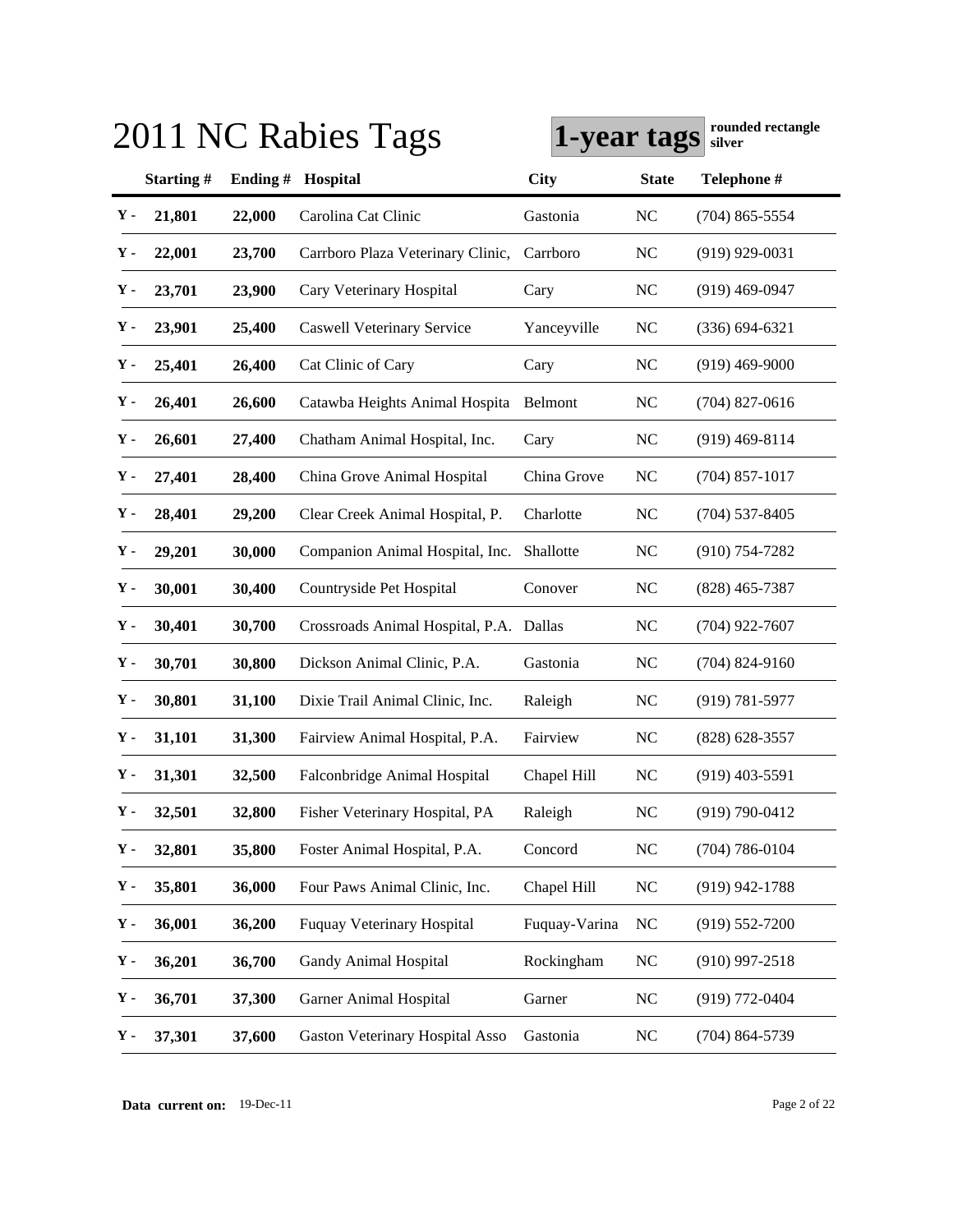| 2011 NC Rabies Tags |           |            |                                         | rounded rectangle<br>1-year tags<br>silver |              |                    |
|---------------------|-----------|------------|-----------------------------------------|--------------------------------------------|--------------|--------------------|
|                     | Starting# | Ending $#$ | Hospital                                | <b>City</b>                                | <b>State</b> | Telephone #        |
| Υ-                  | 21,801    | 22,000     | Carolina Cat Clinic                     | Gastonia                                   | <b>NC</b>    | $(704)$ 865-5554   |
| Υ.                  | 22,001    | 23,700     | Carrboro Plaza Veterinary Clinic,       | Carrboro                                   | <b>NC</b>    | $(919)$ 929-0031   |
| Υ.                  | 23,701    | 23,900     | Cary Veterinary Hospital                | Cary                                       | <b>NC</b>    | $(919)$ 469-0947   |
| Υ.                  | 23,901    | 25,400     | <b>Caswell Veterinary Service</b>       | Yanceyville                                | <b>NC</b>    | $(336) 694 - 6321$ |
| Υ.                  | 25,401    | 26,400     | Cat Clinic of Cary                      | Cary                                       | <b>NC</b>    | $(919)$ 469-9000   |
| Υ.                  | 26,401    | 26,600     | Catawba Heights Animal Hospita          | Belmont                                    | <b>NC</b>    | $(704)$ 827-0616   |
| Υ.                  | 26,601    | 27,400     | Chatham Animal Hospital, Inc.           | Cary                                       | <b>NC</b>    | $(919)$ 469-8114   |
| Υ.                  | 27,401    | 28,400     | China Grove Animal Hospital             | China Grove                                | NC           | $(704)$ 857-1017   |
| у.                  | 28,401    | 29,200     | Clear Creek Animal Hospital, P.         | Charlotte                                  | <b>NC</b>    | $(704)$ 537-8405   |
| у.                  | 29,201    | 30,000     | Companion Animal Hospital, Inc.         | Shallotte                                  | <b>NC</b>    | $(910) 754 - 7282$ |
| у.                  | 30,001    | 30,400     | Countryside Pet Hospital                | Conover                                    | <b>NC</b>    | $(828)$ 465-7387   |
| у.                  | 30,401    | 30,700     | Crossroads Animal Hospital, P.A. Dallas |                                            | <b>NC</b>    | $(704)$ 922-7607   |
| у.                  | 30,701    | 30,800     | Dickson Animal Clinic, P.A.             | Gastonia                                   | <b>NC</b>    | $(704)$ 824-9160   |
| Υ-                  | 30,801    | 31,100     | Dixie Trail Animal Clinic, Inc.         | Raleigh                                    | <b>NC</b>    | $(919) 781 - 5977$ |
| у.                  | 31,101    | 31,300     | Fairview Animal Hospital, P.A.          | Fairview                                   | <b>NC</b>    | $(828) 628 - 3557$ |
| у.                  | 31,301    | 32,500     | Falconbridge Animal Hospital            | Chapel Hill                                | <b>NC</b>    | $(919)$ 403-5591   |
| у.                  | 32,501    | 32,800     | Fisher Veterinary Hospital, PA          | Raleigh                                    | NC           | $(919) 790 - 0412$ |
| Υ-                  | 32,801    | 35,800     | Foster Animal Hospital, P.A.            | Concord                                    | <b>NC</b>    | $(704) 786 - 0104$ |
| Υ.                  | 35,801    | 36,000     | Four Paws Animal Clinic, Inc.           | Chapel Hill                                | <b>NC</b>    | $(919)$ 942-1788   |
| ${\bf Y}$ -         | 36,001    | 36,200     | <b>Fuquay Veterinary Hospital</b>       | Fuquay-Varina                              | <b>NC</b>    | $(919) 552 - 7200$ |
| Υ.                  | 36,201    | 36,700     | <b>Gandy Animal Hospital</b>            | Rockingham                                 | <b>NC</b>    | $(910)$ 997-2518   |
| Υ.                  | 36,701    | 37,300     | <b>Garner Animal Hospital</b>           | Garner                                     | <b>NC</b>    | $(919)$ 772-0404   |
| Υ.                  | 37,301    | 37,600     | Gaston Veterinary Hospital Asso         | Gastonia                                   | <b>NC</b>    | $(704)$ 864-5739   |

**Data current on:** 19-Dec-11 Page 2 of 22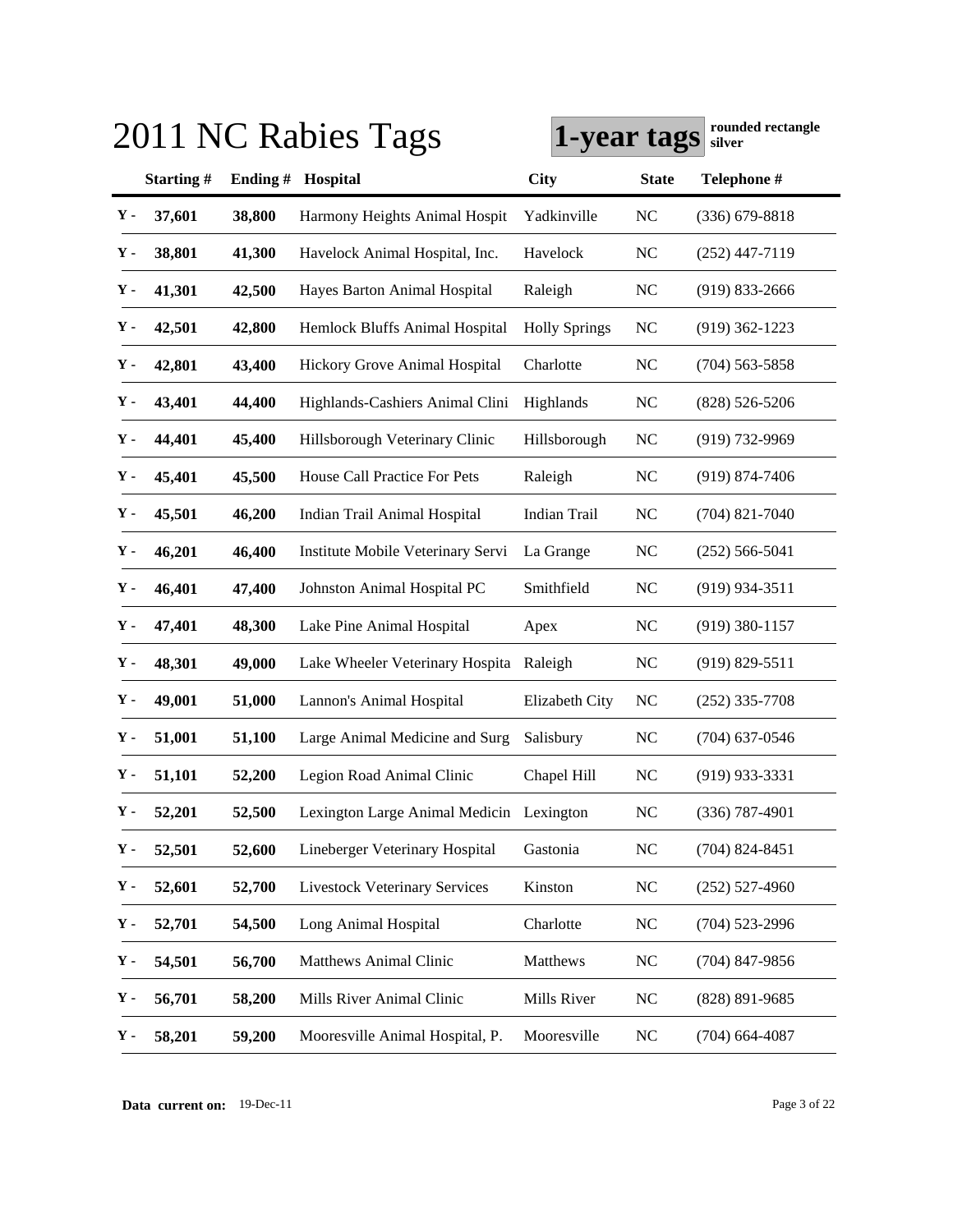| 2011 NC Rabies Tags |           |         |                                          | Tounded Tectangle<br>1-year tags<br>silver |                |                    |  |
|---------------------|-----------|---------|------------------------------------------|--------------------------------------------|----------------|--------------------|--|
|                     | Starting# | Ending# | Hospital                                 | City                                       | <b>State</b>   | Telephone #        |  |
| $\mathbf Y$ -       | 37,601    | 38,800  | Harmony Heights Animal Hospit            | Yadkinville                                | <b>NC</b>      | $(336) 679 - 8818$ |  |
| Υ.                  | 38,801    | 41,300  | Havelock Animal Hospital, Inc.           | Havelock                                   | <b>NC</b>      | $(252)$ 447-7119   |  |
| у.                  | 41,301    | 42,500  | Hayes Barton Animal Hospital             | Raleigh                                    | <b>NC</b>      | $(919) 833 - 2666$ |  |
| у.                  | 42,501    | 42,800  | Hemlock Bluffs Animal Hospital           | <b>Holly Springs</b>                       | <b>NC</b>      | $(919)$ 362-1223   |  |
| у.                  | 42,801    | 43,400  | Hickory Grove Animal Hospital            | Charlotte                                  | <b>NC</b>      | $(704)$ 563-5858   |  |
| у.                  | 43,401    | 44,400  | Highlands-Cashiers Animal Clini          | Highlands                                  | NC             | $(828) 526 - 5206$ |  |
| у.                  | 44,401    | 45,400  | Hillsborough Veterinary Clinic           | Hillsborough                               | N <sub>C</sub> | (919) 732-9969     |  |
| у.                  | 45,401    | 45,500  | House Call Practice For Pets             | Raleigh                                    | <b>NC</b>      | $(919) 874 - 7406$ |  |
| Υ-                  | 45,501    | 46,200  | Indian Trail Animal Hospital             | Indian Trail                               | <b>NC</b>      | $(704)$ 821-7040   |  |
| Υ-                  | 46,201    | 46,400  | Institute Mobile Veterinary Servi        | La Grange                                  | <b>NC</b>      | $(252) 566 - 5041$ |  |
| у.                  | 46,401    | 47,400  | Johnston Animal Hospital PC              | Smithfield                                 | <b>NC</b>      | $(919)$ 934-3511   |  |
| Υ.                  | 47,401    | 48,300  | Lake Pine Animal Hospital                | Apex                                       | <b>NC</b>      | $(919)$ 380-1157   |  |
| Υ.                  | 48,301    | 49,000  | Lake Wheeler Veterinary Hospita          | Raleigh                                    | <b>NC</b>      | $(919) 829 - 5511$ |  |
| Υ-                  | 49,001    | 51,000  | Lannon's Animal Hospital                 | Elizabeth City                             | NC             | $(252)$ 335-7708   |  |
| Υ.                  | 51,001    | 51,100  | Large Animal Medicine and Surg           | Salisbury                                  | <b>NC</b>      | $(704)$ 637-0546   |  |
| Υ.                  | 51,101    | 52,200  | Legion Road Animal Clinic                | Chapel Hill                                | <b>NC</b>      | $(919)$ 933-3331   |  |
| Υ.                  | 52,201    | 52,500  | Lexington Large Animal Medicin Lexington |                                            | <b>NC</b>      | $(336)$ 787-4901   |  |
| ${\bf Y}$ -         | 52,501    | 52,600  | Lineberger Veterinary Hospital           | Gastonia                                   | <b>NC</b>      | $(704)$ 824-8451   |  |
| Υ.                  | 52,601    | 52,700  | <b>Livestock Veterinary Services</b>     | Kinston                                    | <b>NC</b>      | $(252)$ 527-4960   |  |
| $\mathbf{Y}$ -      | 52,701    | 54,500  | Long Animal Hospital                     | Charlotte                                  | <b>NC</b>      | $(704)$ 523-2996   |  |
| Υ.                  | 54,501    | 56,700  | Matthews Animal Clinic                   | Matthews                                   | <b>NC</b>      | $(704)$ 847-9856   |  |
| Υ.                  | 56,701    | 58,200  | Mills River Animal Clinic                | Mills River                                | <b>NC</b>      | (828) 891-9685     |  |
| Υ.                  | 58,201    | 59,200  | Mooresville Animal Hospital, P.          | Mooresville                                | <b>NC</b>      | $(704)$ 664-4087   |  |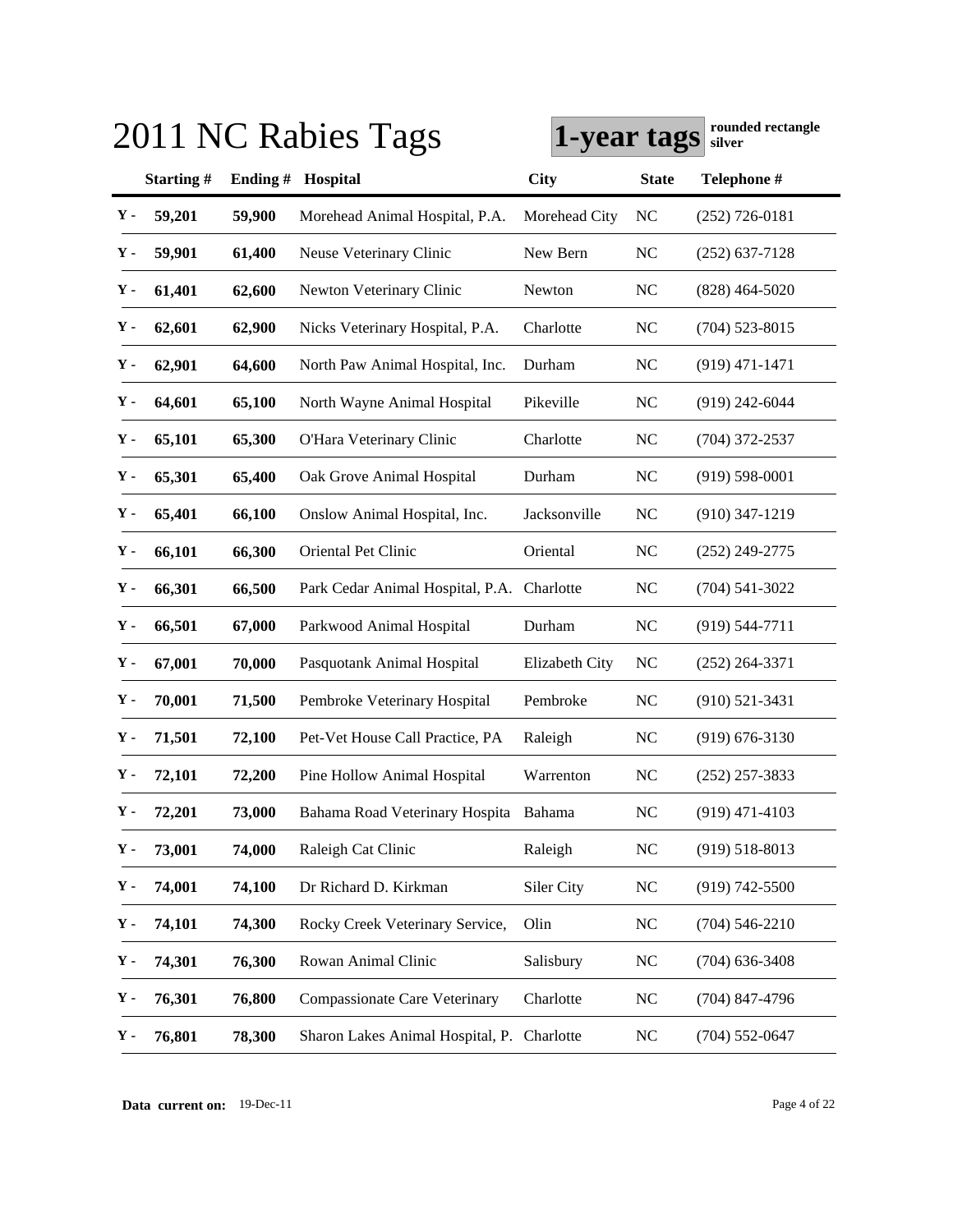| 2011 NC Rabies Tags |           |         |                                            | Tounded Tectangle<br>1-year tags<br>silver |                |                    |
|---------------------|-----------|---------|--------------------------------------------|--------------------------------------------|----------------|--------------------|
|                     | Starting# | Ending# | Hospital                                   | City                                       | <b>State</b>   | Telephone #        |
| Υ-                  | 59,201    | 59,900  | Morehead Animal Hospital, P.A.             | Morehead City                              | <b>NC</b>      | $(252)$ 726-0181   |
| Υ.                  | 59,901    | 61,400  | Neuse Veterinary Clinic                    | New Bern                                   | <b>NC</b>      | $(252)$ 637-7128   |
| Υ.                  | 61,401    | 62,600  | Newton Veterinary Clinic                   | Newton                                     | NC             | $(828)$ 464-5020   |
| Υ.                  | 62,601    | 62,900  | Nicks Veterinary Hospital, P.A.            | Charlotte                                  | <b>NC</b>      | $(704)$ 523-8015   |
| Υ-                  | 62,901    | 64,600  | North Paw Animal Hospital, Inc.            | Durham                                     | <b>NC</b>      | $(919)$ 471-1471   |
| Υ-                  | 64,601    | 65,100  | North Wayne Animal Hospital                | Pikeville                                  | <b>NC</b>      | $(919)$ 242-6044   |
| ${\bf Y}$ -         | 65,101    | 65,300  | O'Hara Veterinary Clinic                   | Charlotte                                  | <b>NC</b>      | $(704)$ 372-2537   |
| у.                  | 65,301    | 65,400  | Oak Grove Animal Hospital                  | Durham                                     | <b>NC</b>      | $(919) 598 - 0001$ |
| Υ-                  | 65,401    | 66,100  | Onslow Animal Hospital, Inc.               | Jacksonville                               | N <sub>C</sub> | $(910)$ 347-1219   |
| Υ-                  | 66,101    | 66,300  | Oriental Pet Clinic                        | Oriental                                   | NC             | $(252)$ 249-2775   |
| Υ.                  | 66,301    | 66,500  | Park Cedar Animal Hospital, P.A. Charlotte |                                            | <b>NC</b>      | $(704)$ 541-3022   |
| Υ.                  | 66,501    | 67,000  | Parkwood Animal Hospital                   | Durham                                     | <b>NC</b>      | $(919) 544 - 7711$ |
| у.                  | 67,001    | 70,000  | Pasquotank Animal Hospital                 | Elizabeth City                             | NC             | $(252)$ 264-3371   |
| Υ-                  | 70,001    | 71,500  | Pembroke Veterinary Hospital               | Pembroke                                   | <b>NC</b>      | $(910) 521 - 3431$ |
| Υ.                  | 71,501    | 72,100  | Pet-Vet House Call Practice, PA            | Raleigh                                    | <b>NC</b>      | $(919) 676 - 3130$ |
| у.                  | 72,101    | 72,200  | Pine Hollow Animal Hospital                | Warrenton                                  | <b>NC</b>      | $(252)$ 257-3833   |
| ${\bf Y}$ -         | 72,201    | 73,000  | Bahama Road Veterinary Hospita Bahama      |                                            | NC             | $(919)$ 471-4103   |
| Υ-                  | 73,001    | 74,000  | Raleigh Cat Clinic                         | Raleigh                                    | <b>NC</b>      | $(919) 518 - 8013$ |
| Υ.                  | 74,001    | 74,100  | Dr Richard D. Kirkman                      | Siler City                                 | <b>NC</b>      | $(919) 742 - 5500$ |
| Υ.                  | 74,101    | 74,300  | Rocky Creek Veterinary Service,            | Olin                                       | <b>NC</b>      | $(704)$ 546-2210   |
| Υ.                  | 74,301    | 76,300  | Rowan Animal Clinic                        | Salisbury                                  | <b>NC</b>      | $(704)$ 636-3408   |
| Υ.                  | 76,301    | 76,800  | <b>Compassionate Care Veterinary</b>       | Charlotte                                  | <b>NC</b>      | $(704)$ 847-4796   |
| Υ.                  | 76,801    | 78,300  | Sharon Lakes Animal Hospital, P. Charlotte |                                            | <b>NC</b>      | $(704)$ 552-0647   |

**Data current on:** 19-Dec-11 Page 4 of 22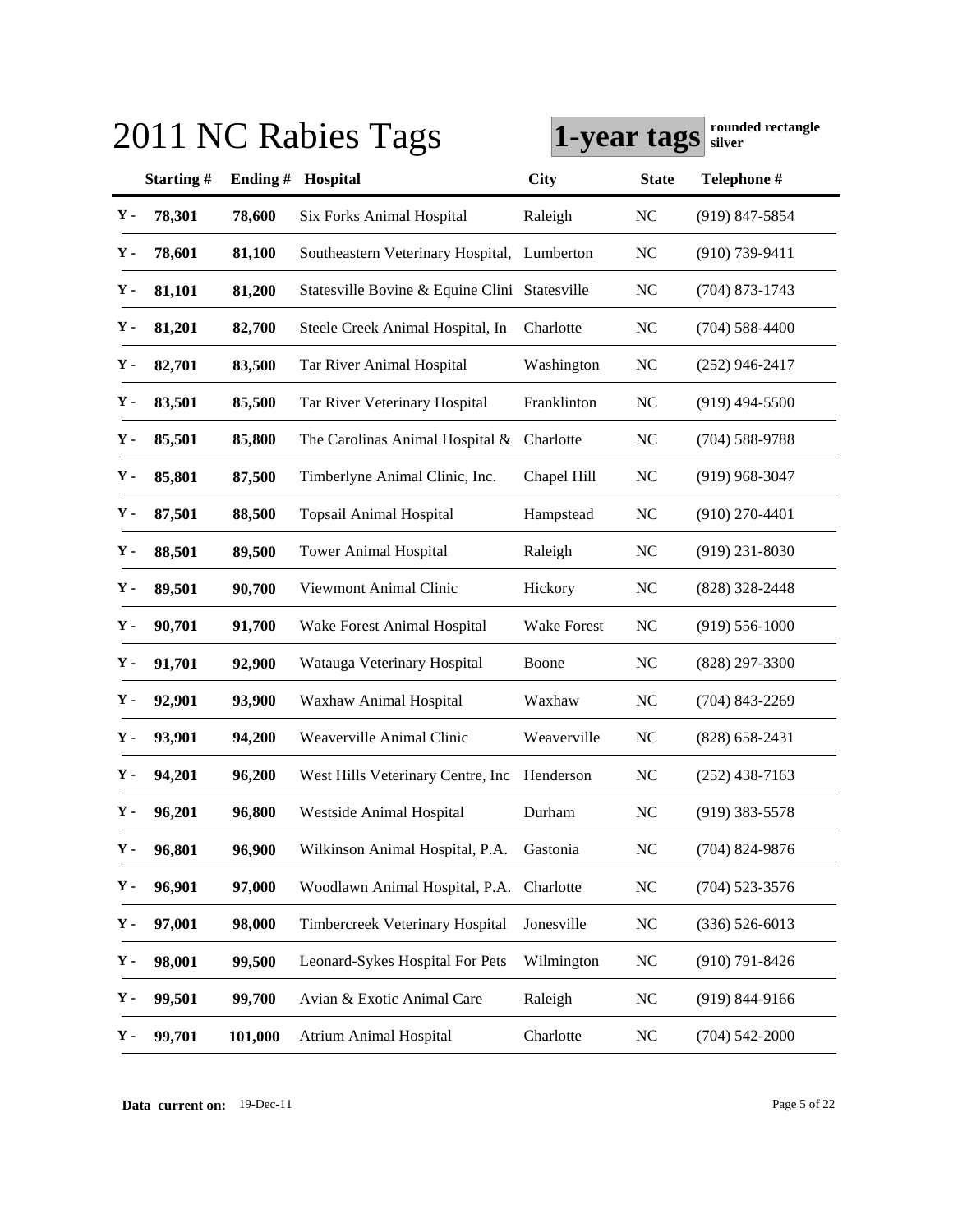| 2011 NC Rabies Tags |           |         | rounded rectangle<br>1-year tags<br>silver    |             |              |                    |
|---------------------|-----------|---------|-----------------------------------------------|-------------|--------------|--------------------|
|                     | Starting# | Ending# | Hospital                                      | <b>City</b> | <b>State</b> | Telephone #        |
| Υ-                  | 78,301    | 78,600  | Six Forks Animal Hospital                     | Raleigh     | <b>NC</b>    | (919) 847-5854     |
| Υ.                  | 78,601    | 81,100  | Southeastern Veterinary Hospital,             | Lumberton   | <b>NC</b>    | $(910)$ 739-9411   |
| Υ.                  | 81,101    | 81,200  | Statesville Bovine & Equine Clini Statesville |             | <b>NC</b>    | $(704)$ 873-1743   |
| Υ.                  | 81,201    | 82,700  | Steele Creek Animal Hospital, In              | Charlotte   | <b>NC</b>    | $(704) 588 - 4400$ |
| Υ.                  | 82,701    | 83,500  | Tar River Animal Hospital                     | Washington  | <b>NC</b>    | $(252)$ 946-2417   |
| Υ.                  | 83,501    | 85,500  | Tar River Veterinary Hospital                 | Franklinton | <b>NC</b>    | $(919)$ 494-5500   |
| Υ.                  | 85,501    | 85,800  | The Carolinas Animal Hospital &               | Charlotte   | <b>NC</b>    | $(704) 588 - 9788$ |
| у.                  | 85,801    | 87,500  | Timberlyne Animal Clinic, Inc.                | Chapel Hill | <b>NC</b>    | $(919)$ 968-3047   |
| у.                  | 87,501    | 88,500  | <b>Topsail Animal Hospital</b>                | Hampstead   | <b>NC</b>    | $(910)$ 270-4401   |
| у.                  | 88,501    | 89,500  | <b>Tower Animal Hospital</b>                  | Raleigh     | <b>NC</b>    | $(919)$ 231-8030   |
| у.                  | 89,501    | 90,700  | Viewmont Animal Clinic                        | Hickory     | <b>NC</b>    | (828) 328-2448     |
| у.                  | 90,701    | 91,700  | Wake Forest Animal Hospital                   | Wake Forest | <b>NC</b>    | $(919) 556 - 1000$ |
| у.                  | 91,701    | 92,900  | Watauga Veterinary Hospital                   | Boone       | <b>NC</b>    | (828) 297-3300     |
| у.                  | 92,901    | 93,900  | Waxhaw Animal Hospital                        | Waxhaw      | <b>NC</b>    | $(704)$ 843-2269   |
| у.                  | 93,901    | 94,200  | Weaverville Animal Clinic                     | Weaverville | <b>NC</b>    | $(828)$ 658-2431   |
| у.                  | 94,201    | 96,200  | West Hills Veterinary Centre, Inc.            | Henderson   | <b>NC</b>    | $(252)$ 438-7163   |
| у.                  | 96,201    | 96,800  | Westside Animal Hospital                      | Durham      | NC           | $(919)$ 383-5578   |
| Υ-                  | 96,801    | 96,900  | Wilkinson Animal Hospital, P.A.               | Gastonia    | <b>NC</b>    | (704) 824-9876     |
| Υ.                  | 96,901    | 97,000  | Woodlawn Animal Hospital, P.A.                | Charlotte   | <b>NC</b>    | $(704)$ 523-3576   |
| Υ.                  | 97,001    | 98,000  | Timbercreek Veterinary Hospital               | Jonesville  | <b>NC</b>    | $(336) 526 - 6013$ |
| Υ.                  | 98,001    | 99,500  | Leonard-Sykes Hospital For Pets               | Wilmington  | <b>NC</b>    | $(910)$ 791-8426   |
| Υ.                  | 99,501    | 99,700  | Avian & Exotic Animal Care                    | Raleigh     | <b>NC</b>    | $(919) 844 - 9166$ |
| Υ.                  | 99,701    | 101,000 | <b>Atrium Animal Hospital</b>                 | Charlotte   | <b>NC</b>    | $(704)$ 542-2000   |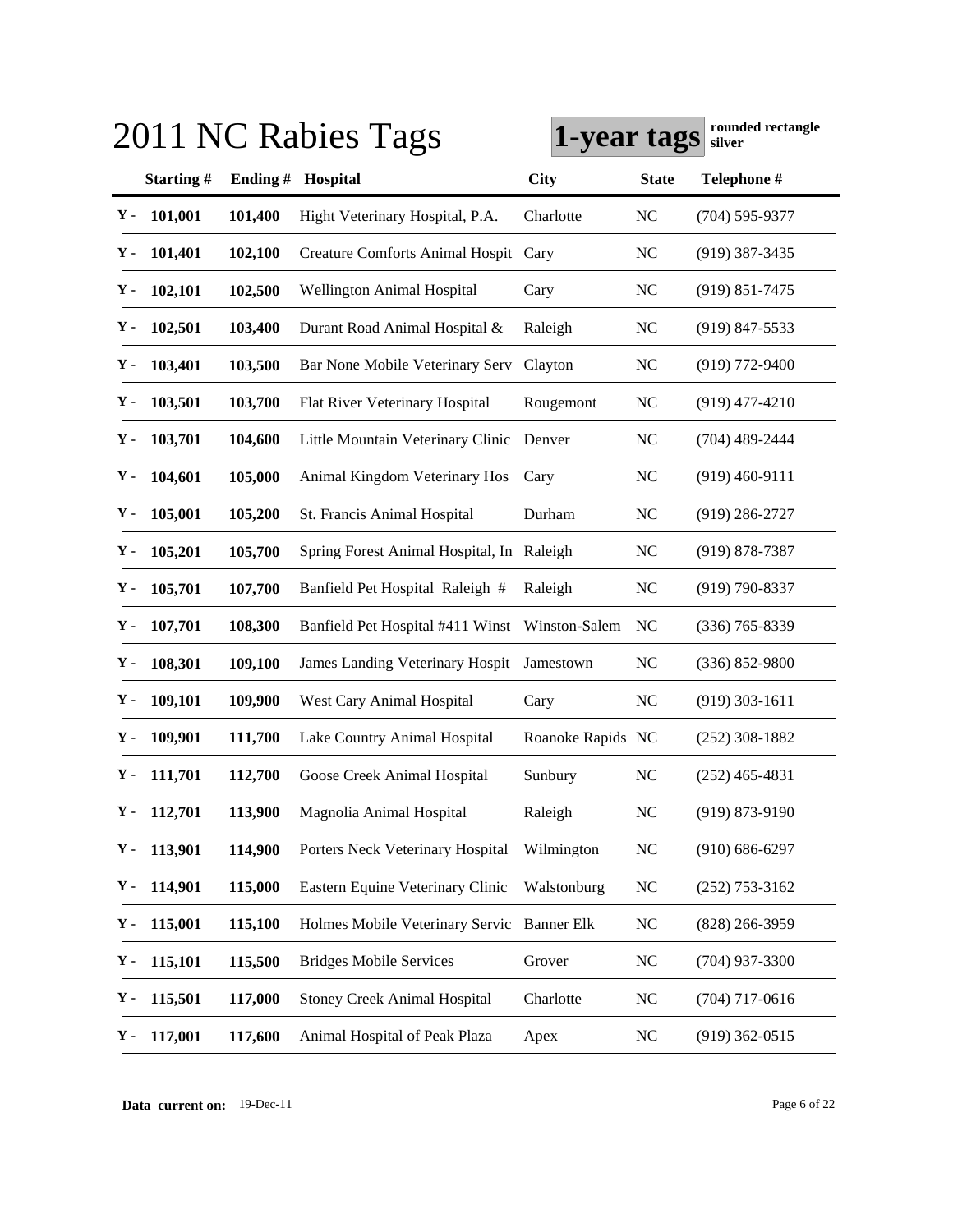|    |               |            | 2011 NC Rabies Tags                        | 1-year tags       |              | rounded rectangle<br>silver |
|----|---------------|------------|--------------------------------------------|-------------------|--------------|-----------------------------|
|    | Starting#     | Ending $#$ | Hospital                                   | City              | <b>State</b> | Telephone #                 |
| Υ- | 101,001       | 101,400    | Hight Veterinary Hospital, P.A.            | Charlotte         | <b>NC</b>    | $(704) 595 - 9377$          |
| Υ. | 101,401       | 102,100    | Creature Comforts Animal Hospit Cary       |                   | <b>NC</b>    | $(919)$ 387-3435            |
| у. | 102,101       | 102,500    | Wellington Animal Hospital                 | Cary              | <b>NC</b>    | $(919) 851 - 7475$          |
| Υ- | 102,501       | 103,400    | Durant Road Animal Hospital &              | Raleigh           | <b>NC</b>    | $(919)$ 847-5533            |
| у. | 103,401       | 103,500    | Bar None Mobile Veterinary Serv            | Clayton           | <b>NC</b>    | $(919)$ 772-9400            |
| Υ. | 103,501       | 103,700    | Flat River Veterinary Hospital             | Rougemont         | <b>NC</b>    | $(919)$ 477-4210            |
| Υ. | 103,701       | 104,600    | Little Mountain Veterinary Clinic          | Denver            | <b>NC</b>    | $(704)$ 489-2444            |
| Υ. | 104,601       | 105,000    | Animal Kingdom Veterinary Hos              | Cary              | <b>NC</b>    | $(919)$ 460-9111            |
| Υ. | 105,001       | 105,200    | St. Francis Animal Hospital                | Durham            | <b>NC</b>    | $(919)$ 286-2727            |
| Υ. | 105,201       | 105,700    | Spring Forest Animal Hospital, In Raleigh  |                   | <b>NC</b>    | (919) 878-7387              |
| Υ. | 105,701       | 107,700    | Banfield Pet Hospital Raleigh #            | Raleigh           | <b>NC</b>    | (919) 790-8337              |
| Υ. | 107,701       | 108,300    | Banfield Pet Hospital #411 Winst           | Winston-Salem     | <b>NC</b>    | $(336)$ 765-8339            |
| Υ- | 108,301       | 109,100    | James Landing Veterinary Hospit            | Jamestown         | <b>NC</b>    | $(336) 852 - 9800$          |
| Υ. | 109,101       | 109,900    | West Cary Animal Hospital                  | Cary              | <b>NC</b>    | $(919)$ 303-1611            |
| Υ. | 109,901       | 111,700    | Lake Country Animal Hospital               | Roanoke Rapids NC |              | $(252)$ 308-1882            |
| Υ. | 111,701       | 112,700    | Goose Creek Animal Hospital                | Sunbury           | <b>NC</b>    | $(252)$ 465-4831            |
|    | $Y - 112,701$ | 113,900    | Magnolia Animal Hospital                   | Raleigh           | NC           | $(919) 873 - 9190$          |
| Υ. | 113,901       | 114,900    | Porters Neck Veterinary Hospital           | Wilmington        | <b>NC</b>    | $(910) 686 - 6297$          |
| Υ. | 114,901       | 115,000    | Eastern Equine Veterinary Clinic           | Walstonburg       | <b>NC</b>    | $(252)$ 753-3162            |
| Υ. | 115,001       | 115,100    | Holmes Mobile Veterinary Servic Banner Elk |                   | <b>NC</b>    | (828) 266-3959              |
| Υ. | 115,101       | 115,500    | <b>Bridges Mobile Services</b>             | Grover            | <b>NC</b>    | $(704)$ 937-3300            |
| Υ. | 115,501       | 117,000    | <b>Stoney Creek Animal Hospital</b>        | Charlotte         | NC           | $(704)$ 717-0616            |
| Υ. | 117,001       | 117,600    | Animal Hospital of Peak Plaza              | Apex              | <b>NC</b>    | $(919)$ 362-0515            |

**Data current on:** 19-Dec-11 Page 6 of 22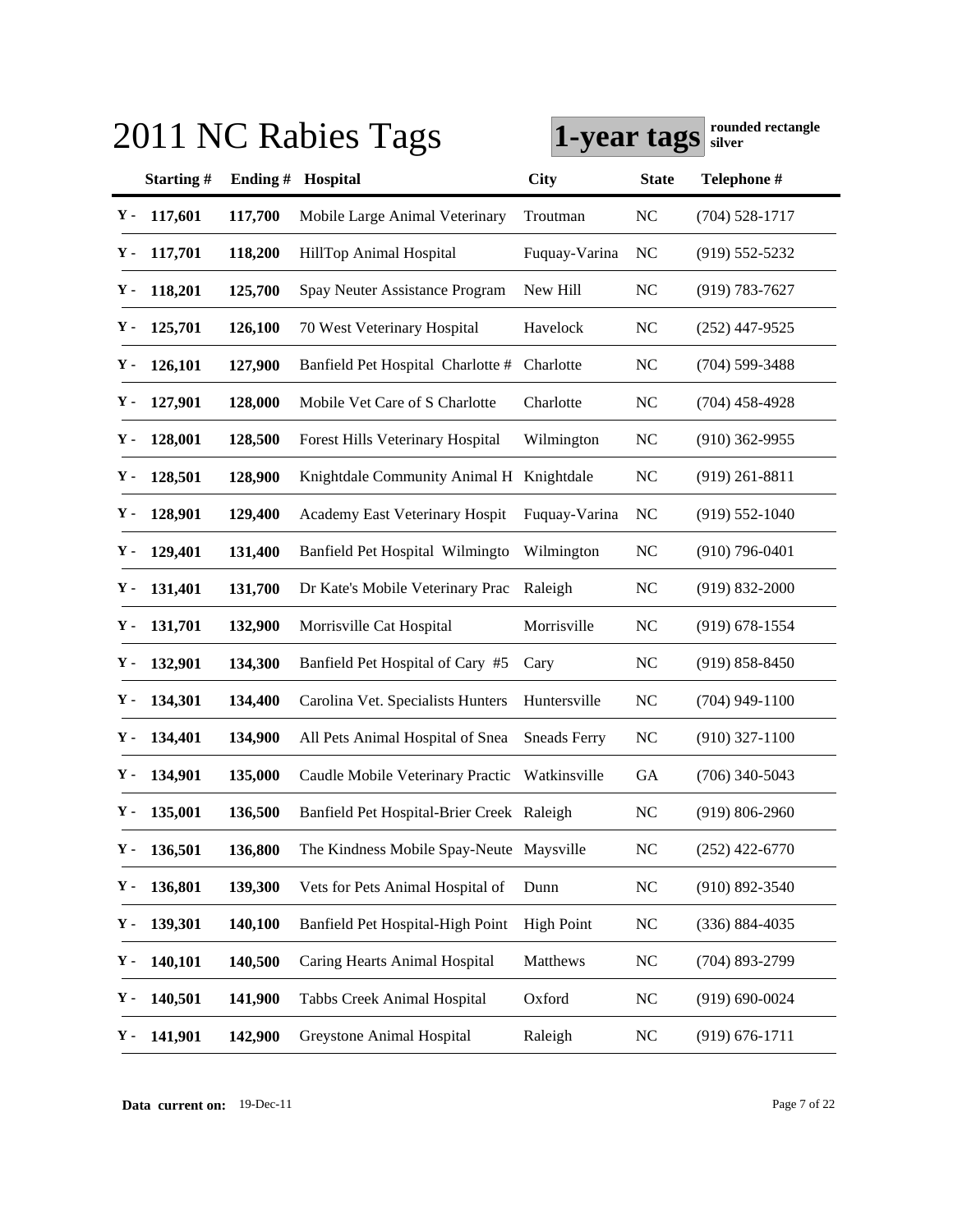|     |           |         | 2011 NC Rabies Tags                       | Tounded Tectangle<br>1-year tags<br>silver |                |                    |
|-----|-----------|---------|-------------------------------------------|--------------------------------------------|----------------|--------------------|
|     | Starting# | Ending# | Hospital                                  | City                                       | <b>State</b>   | Telephone #        |
| Υ-  | 117,601   | 117,700 | Mobile Large Animal Veterinary            | Troutman                                   | <b>NC</b>      | $(704) 528 - 1717$ |
| Υ.  | 117,701   | 118,200 | HillTop Animal Hospital                   | Fuquay-Varina                              | N <sub>C</sub> | $(919) 552 - 5232$ |
| Υ.  | 118,201   | 125,700 | Spay Neuter Assistance Program            | New Hill                                   | NC             | $(919) 783 - 7627$ |
| Υ.  | 125,701   | 126,100 | 70 West Veterinary Hospital               | Havelock                                   | <b>NC</b>      | $(252)$ 447-9525   |
| Υ.  | 126,101   | 127,900 | Banfield Pet Hospital Charlotte #         | Charlotte                                  | <b>NC</b>      | $(704)$ 599-3488   |
| Υ.  | 127,901   | 128,000 | Mobile Vet Care of S Charlotte            | Charlotte                                  | <b>NC</b>      | $(704)$ 458-4928   |
| Υ.  | 128,001   | 128,500 | Forest Hills Veterinary Hospital          | Wilmington                                 | <b>NC</b>      | $(910)$ 362-9955   |
| Υ.  | 128,501   | 128,900 | Knightdale Community Animal H             | Knightdale                                 | <b>NC</b>      | $(919)$ 261-8811   |
| Υ.  | 128,901   | 129,400 | Academy East Veterinary Hospit            | Fuquay-Varina                              | N <sub>C</sub> | $(919) 552 - 1040$ |
| Υ.  | 129,401   | 131,400 | Banfield Pet Hospital Wilmingto           | Wilmington                                 | <b>NC</b>      | $(910)$ 796-0401   |
| Υ.  | 131,401   | 131,700 | Dr Kate's Mobile Veterinary Prac          | Raleigh                                    | <b>NC</b>      | $(919) 832 - 2000$ |
| Υ.  | 131,701   | 132,900 | Morrisville Cat Hospital                  | Morrisville                                | <b>NC</b>      | $(919) 678 - 1554$ |
| Υ.  | 132,901   | 134,300 | Banfield Pet Hospital of Cary #5          | Cary                                       | <b>NC</b>      | $(919) 858 - 8450$ |
| Υ.  | 134,301   | 134,400 | Carolina Vet. Specialists Hunters         | Huntersville                               | <b>NC</b>      | $(704)$ 949-1100   |
| Υ.  | 134,401   | 134,900 | All Pets Animal Hospital of Snea          | <b>Sneads Ferry</b>                        | <b>NC</b>      | $(910)$ 327-1100   |
| Υ.  | 134,901   | 135,000 | Caudle Mobile Veterinary Practic          | Watkinsville                               | GA             | $(706)$ 340-5043   |
| Υ - | 135,001   | 136,500 | Banfield Pet Hospital-Brier Creek Raleigh |                                            | <b>NC</b>      | $(919) 806 - 2960$ |
| Υ.  | 136,501   | 136,800 | The Kindness Mobile Spay-Neute Maysville  |                                            | <b>NC</b>      | $(252)$ 422-6770   |
| Υ.  | 136,801   | 139,300 | Vets for Pets Animal Hospital of          | Dunn                                       | <b>NC</b>      | $(910) 892 - 3540$ |
| Υ.  | 139,301   | 140,100 | Banfield Pet Hospital-High Point          | <b>High Point</b>                          | <b>NC</b>      | $(336) 884 - 4035$ |
| Υ.  | 140,101   | 140,500 | Caring Hearts Animal Hospital             | Matthews                                   | <b>NC</b>      | (704) 893-2799     |
| Υ.  | 140,501   | 141,900 | <b>Tabbs Creek Animal Hospital</b>        | Oxford                                     | <b>NC</b>      | $(919) 690 - 0024$ |
| Υ.  | 141,901   | 142,900 | Greystone Animal Hospital                 | Raleigh                                    | NC             | $(919) 676 - 1711$ |

**Data current on:** 19-Dec-11 Page 7 of 22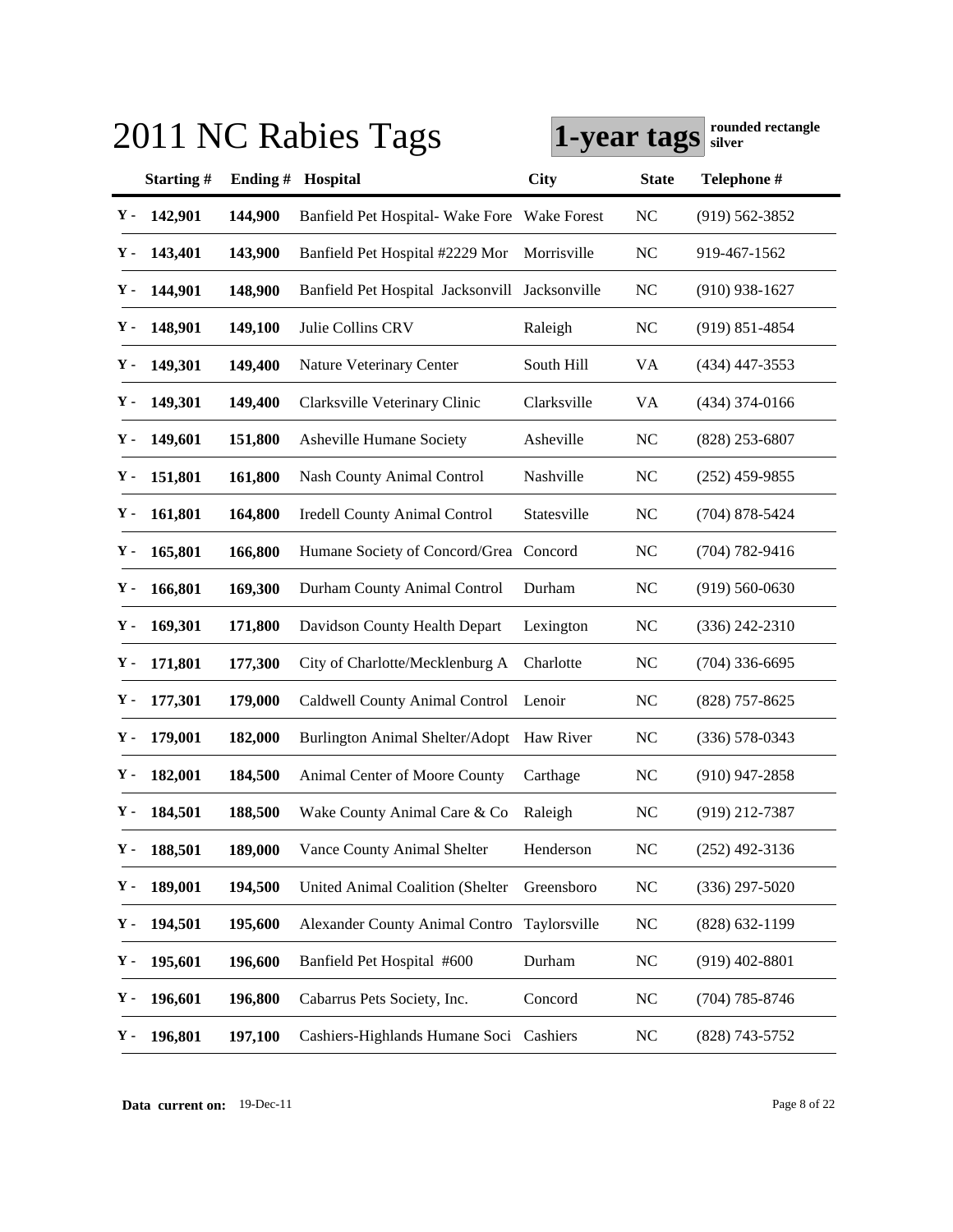|    |               |            | 2011 NC Rabies Tags                            | 1-year tags        |              | rounded rectangle<br>silver |
|----|---------------|------------|------------------------------------------------|--------------------|--------------|-----------------------------|
|    | Starting#     | Ending $#$ | Hospital                                       | City               | <b>State</b> | Telephone #                 |
| Υ- | 142,901       | 144,900    | Banfield Pet Hospital-Wake Fore                | <b>Wake Forest</b> | <b>NC</b>    | $(919) 562 - 3852$          |
| Υ. | 143,401       | 143,900    | Banfield Pet Hospital #2229 Mor                | Morrisville        | <b>NC</b>    | 919-467-1562                |
| Υ. | 144,901       | 148,900    | Banfield Pet Hospital Jacksonvill Jacksonville |                    | <b>NC</b>    | $(910)$ 938-1627            |
| у. | 148,901       | 149,100    | Julie Collins CRV                              | Raleigh            | <b>NC</b>    | $(919)$ 851-4854            |
| Υ. | 149,301       | 149,400    | Nature Veterinary Center                       | South Hill         | VA           | $(434)$ 447-3553            |
| Υ. | 149,301       | 149,400    | Clarksville Veterinary Clinic                  | Clarksville        | VA           | $(434)$ 374-0166            |
| Υ. | 149,601       | 151,800    | Asheville Humane Society                       | Asheville          | <b>NC</b>    | $(828)$ 253-6807            |
| Υ. | 151,801       | 161,800    | <b>Nash County Animal Control</b>              | Nashville          | <b>NC</b>    | $(252)$ 459-9855            |
| Υ. | 161,801       | 164,800    | <b>Iredell County Animal Control</b>           | Statesville        | NC           | $(704)$ 878-5424            |
| Υ. | 165,801       | 166,800    | Humane Society of Concord/Grea Concord         |                    | <b>NC</b>    | $(704) 782 - 9416$          |
| Υ. | 166,801       | 169,300    | Durham County Animal Control                   | Durham             | <b>NC</b>    | $(919) 560 - 0630$          |
| Υ. | 169,301       | 171,800    | Davidson County Health Depart                  | Lexington          | <b>NC</b>    | $(336)$ 242-2310            |
| Υ. | 171,801       | 177,300    | City of Charlotte/Mecklenburg A                | Charlotte          | NC           | $(704)$ 336-6695            |
| Υ. | 177,301       | 179,000    | Caldwell County Animal Control                 | Lenoir             | NC           | $(828)$ 757-8625            |
| Υ- | 179,001       | 182,000    | <b>Burlington Animal Shelter/Adopt</b>         | Haw River          | <b>NC</b>    | $(336) 578 - 0343$          |
| Υ. | 182,001       | 184,500    | Animal Center of Moore County                  | Carthage           | <b>NC</b>    | $(910)$ 947-2858            |
|    | $Y - 184,501$ | 188,500    | Wake County Animal Care & Co                   | Raleigh            | NC           | (919) 212-7387              |
| Υ. | 188,501       | 189,000    | Vance County Animal Shelter                    | Henderson          | <b>NC</b>    | $(252)$ 492-3136            |
| Υ. | 189,001       | 194,500    | <b>United Animal Coalition (Shelter</b>        | Greensboro         | <b>NC</b>    | $(336)$ 297-5020            |
| Υ. | 194,501       | 195,600    | <b>Alexander County Animal Contro</b>          | Taylorsville       | <b>NC</b>    | (828) 632-1199              |
| Υ. | 195,601       | 196,600    | Banfield Pet Hospital #600                     | Durham             | <b>NC</b>    | $(919)$ 402-8801            |
| Υ. | 196,601       | 196,800    | Cabarrus Pets Society, Inc.                    | Concord            | NC           | $(704)$ 785-8746            |
| Υ. | 196,801       | 197,100    | Cashiers-Highlands Humane Soci Cashiers        |                    | NC           | (828) 743-5752              |

**Data current on:** 19-Dec-11 Page 8 of 22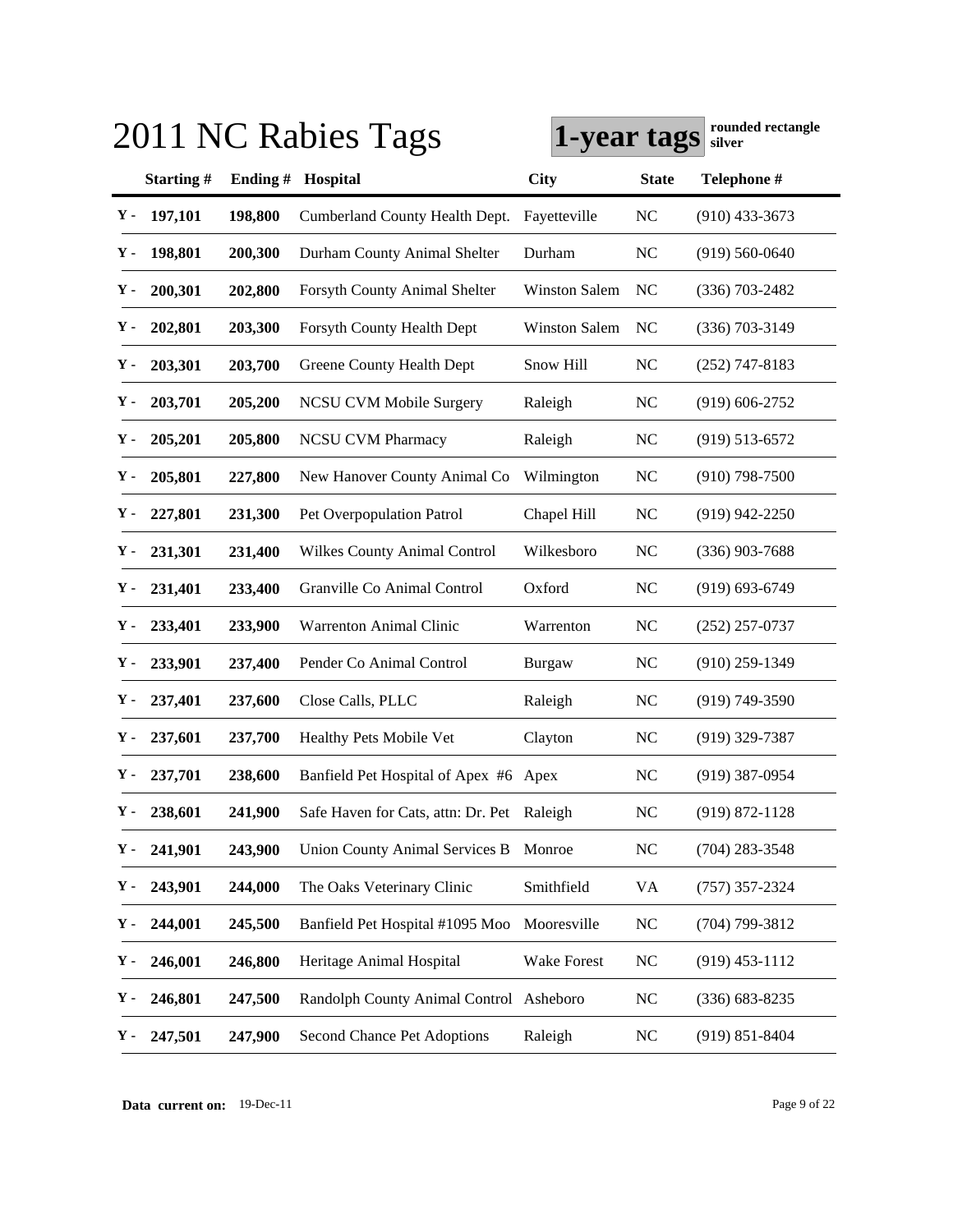|    |               |            | 2011 NC Rabies Tags                        | 1-year tags          |                | rounded rectangle<br>silver |
|----|---------------|------------|--------------------------------------------|----------------------|----------------|-----------------------------|
|    | Starting#     | Ending $#$ | Hospital                                   | City                 | <b>State</b>   | Telephone #                 |
| Υ- | 197,101       | 198,800    | Cumberland County Health Dept.             | Fayetteville         | <b>NC</b>      | $(910)$ 433-3673            |
| Υ. | 198,801       | 200,300    | Durham County Animal Shelter               | Durham               | N <sub>C</sub> | $(919) 560 - 0640$          |
| Υ- | 200,301       | 202,800    | Forsyth County Animal Shelter              | <b>Winston Salem</b> | NC             | $(336)$ 703-2482            |
| Υ- | 202,801       | 203,300    | Forsyth County Health Dept                 | <b>Winston Salem</b> | NC             | $(336)$ 703-3149            |
| Υ- | 203,301       | 203,700    | Greene County Health Dept                  | Snow Hill            | <b>NC</b>      | $(252)$ 747-8183            |
| Υ. | 203,701       | 205,200    | <b>NCSU CVM Mobile Surgery</b>             | Raleigh              | <b>NC</b>      | $(919) 606 - 2752$          |
| Υ. | 205,201       | 205,800    | <b>NCSU CVM Pharmacy</b>                   | Raleigh              | <b>NC</b>      | $(919) 513 - 6572$          |
| Υ. | 205,801       | 227,800    | New Hanover County Animal Co               | Wilmington           | NC             | $(910)$ 798-7500            |
| Υ. | 227,801       | 231,300    | Pet Overpopulation Patrol                  | Chapel Hill          | NC             | $(919)$ 942-2250            |
| Υ. | 231,301       | 231,400    | <b>Wilkes County Animal Control</b>        | Wilkesboro           | <b>NC</b>      | $(336)$ 903-7688            |
| Υ. | 231,401       | 233,400    | Granville Co Animal Control                | Oxford               | <b>NC</b>      | $(919) 693 - 6749$          |
| Υ. | 233,401       | 233,900    | Warrenton Animal Clinic                    | Warrenton            | <b>NC</b>      | $(252)$ 257-0737            |
| Υ. | 233,901       | 237,400    | Pender Co Animal Control                   | Burgaw               | NC             | $(910)$ 259-1349            |
| Υ. | 237,401       | 237,600    | Close Calls, PLLC                          | Raleigh              | NC             | (919) 749-3590              |
| Υ. | 237,601       | 237,700    | Healthy Pets Mobile Vet                    | Clayton              | <b>NC</b>      | $(919)$ 329-7387            |
| Υ. | 237,701       | 238,600    | Banfield Pet Hospital of Apex #6 Apex      |                      | <b>NC</b>      | (919) 387-0954              |
|    | $Y - 238,601$ | 241,900    | Safe Haven for Cats, attn: Dr. Pet Raleigh |                      | NC             | $(919) 872 - 1128$          |
| Υ. | 241,901       | 243,900    | Union County Animal Services B             | Monroe               | <b>NC</b>      | $(704)$ 283-3548            |
| Υ. | 243,901       | 244,000    | The Oaks Veterinary Clinic                 | Smithfield           | VA             | $(757)$ 357-2324            |
| Υ. | 244,001       | 245,500    | Banfield Pet Hospital #1095 Moo            | Mooresville          | <b>NC</b>      | (704) 799-3812              |
| Υ. | 246,001       | 246,800    | Heritage Animal Hospital                   | Wake Forest          | <b>NC</b>      | $(919)$ 453-1112            |
| Υ. | 246,801       | 247,500    | Randolph County Animal Control Asheboro    |                      | NC             | $(336) 683 - 8235$          |
| Υ. | 247,501       | 247,900    | Second Chance Pet Adoptions                | Raleigh              | <b>NC</b>      | $(919) 851 - 8404$          |

**Data current on:** 19-Dec-11 Page 9 of 22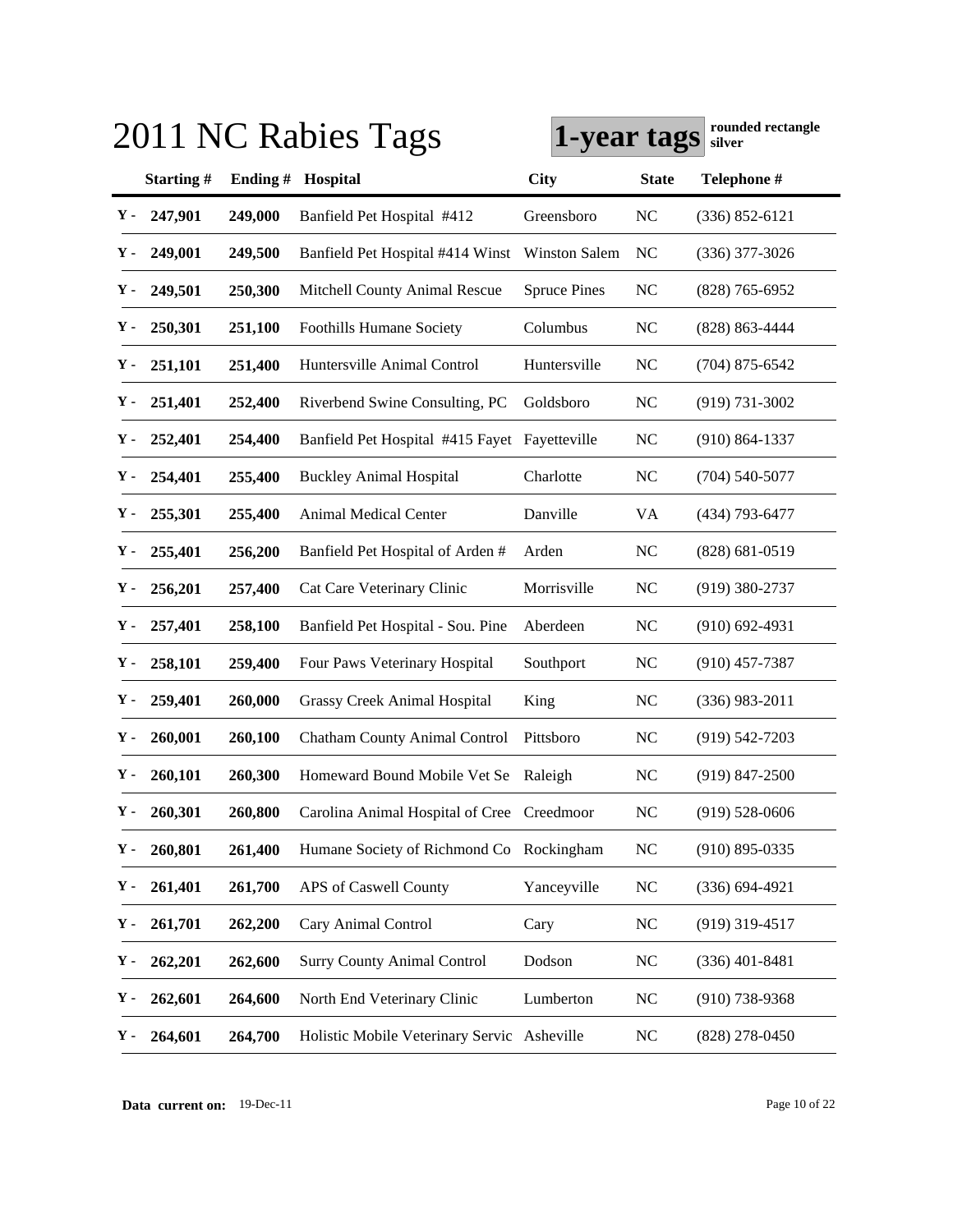|     |           |         | 2011 NC Rabies Tags                           | rounded rectangle<br>1-year tags<br>silver |              |                    |
|-----|-----------|---------|-----------------------------------------------|--------------------------------------------|--------------|--------------------|
|     | Starting# | Ending# | Hospital                                      | City                                       | <b>State</b> | Telephone #        |
| Υ-  | 247,901   | 249,000 | Banfield Pet Hospital #412                    | Greensboro                                 | <b>NC</b>    | $(336) 852 - 6121$ |
| Υ.  | 249,001   | 249,500 | Banfield Pet Hospital #414 Winst              | <b>Winston Salem</b>                       | NC           | $(336)$ 377-3026   |
| Υ.  | 249,501   | 250,300 | Mitchell County Animal Rescue                 | <b>Spruce Pines</b>                        | <b>NC</b>    | $(828) 765 - 6952$ |
| Υ.  | 250,301   | 251,100 | <b>Foothills Humane Society</b>               | Columbus                                   | NC           | (828) 863-4444     |
| Υ.  | 251,101   | 251,400 | Huntersville Animal Control                   | Huntersville                               | <b>NC</b>    | $(704)$ 875-6542   |
| Υ.  | 251,401   | 252,400 | Riverbend Swine Consulting, PC                | Goldsboro                                  | <b>NC</b>    | $(919) 731 - 3002$ |
| Υ.  | 252,401   | 254,400 | Banfield Pet Hospital #415 Fayet Fayetteville |                                            | <b>NC</b>    | $(910) 864 - 1337$ |
| Υ.  | 254,401   | 255,400 | <b>Buckley Animal Hospital</b>                | Charlotte                                  | NC           | $(704) 540 - 5077$ |
| Υ.  | 255,301   | 255,400 | Animal Medical Center                         | Danville                                   | VA           | (434) 793-6477     |
| Υ.  | 255,401   | 256,200 | Banfield Pet Hospital of Arden #              | Arden                                      | <b>NC</b>    | $(828) 681 - 0519$ |
| Υ.  | 256,201   | 257,400 | Cat Care Veterinary Clinic                    | Morrisville                                | <b>NC</b>    | $(919)$ 380-2737   |
| Υ.  | 257,401   | 258,100 | Banfield Pet Hospital - Sou. Pine             | Aberdeen                                   | <b>NC</b>    | $(910) 692 - 4931$ |
| Υ.  | 258,101   | 259,400 | Four Paws Veterinary Hospital                 | Southport                                  | <b>NC</b>    | $(910)$ 457-7387   |
| Υ.  | 259,401   | 260,000 | Grassy Creek Animal Hospital                  | King                                       | <b>NC</b>    | $(336)$ 983-2011   |
| Υ.  | 260,001   | 260,100 | Chatham County Animal Control                 | Pittsboro                                  | <b>NC</b>    | $(919) 542 - 7203$ |
| Υ.  | 260,101   | 260,300 | Homeward Bound Mobile Vet Se                  | Raleigh                                    | <b>NC</b>    | $(919)$ 847-2500   |
| Y - | 260,301   | 260,800 | Carolina Animal Hospital of Cree Creedmoor    |                                            | NC           | $(919) 528 - 0606$ |
| Υ.  | 260,801   | 261,400 | Humane Society of Richmond Co Rockingham      |                                            | <b>NC</b>    | $(910) 895 - 0335$ |
| Υ.  | 261,401   | 261,700 | APS of Caswell County                         | Yanceyville                                | <b>NC</b>    | $(336) 694 - 4921$ |
| Υ.  | 261,701   | 262,200 | Cary Animal Control                           | Cary                                       | <b>NC</b>    | $(919)$ 319-4517   |
| Υ.  | 262,201   | 262,600 | <b>Surry County Animal Control</b>            | Dodson                                     | <b>NC</b>    | $(336)$ 401-8481   |
| Υ.  | 262,601   | 264,600 | North End Veterinary Clinic                   | Lumberton                                  | <b>NC</b>    | $(910)$ 738-9368   |
| Υ.  | 264,601   | 264,700 | Holistic Mobile Veterinary Servic Asheville   |                                            | <b>NC</b>    | $(828)$ 278-0450   |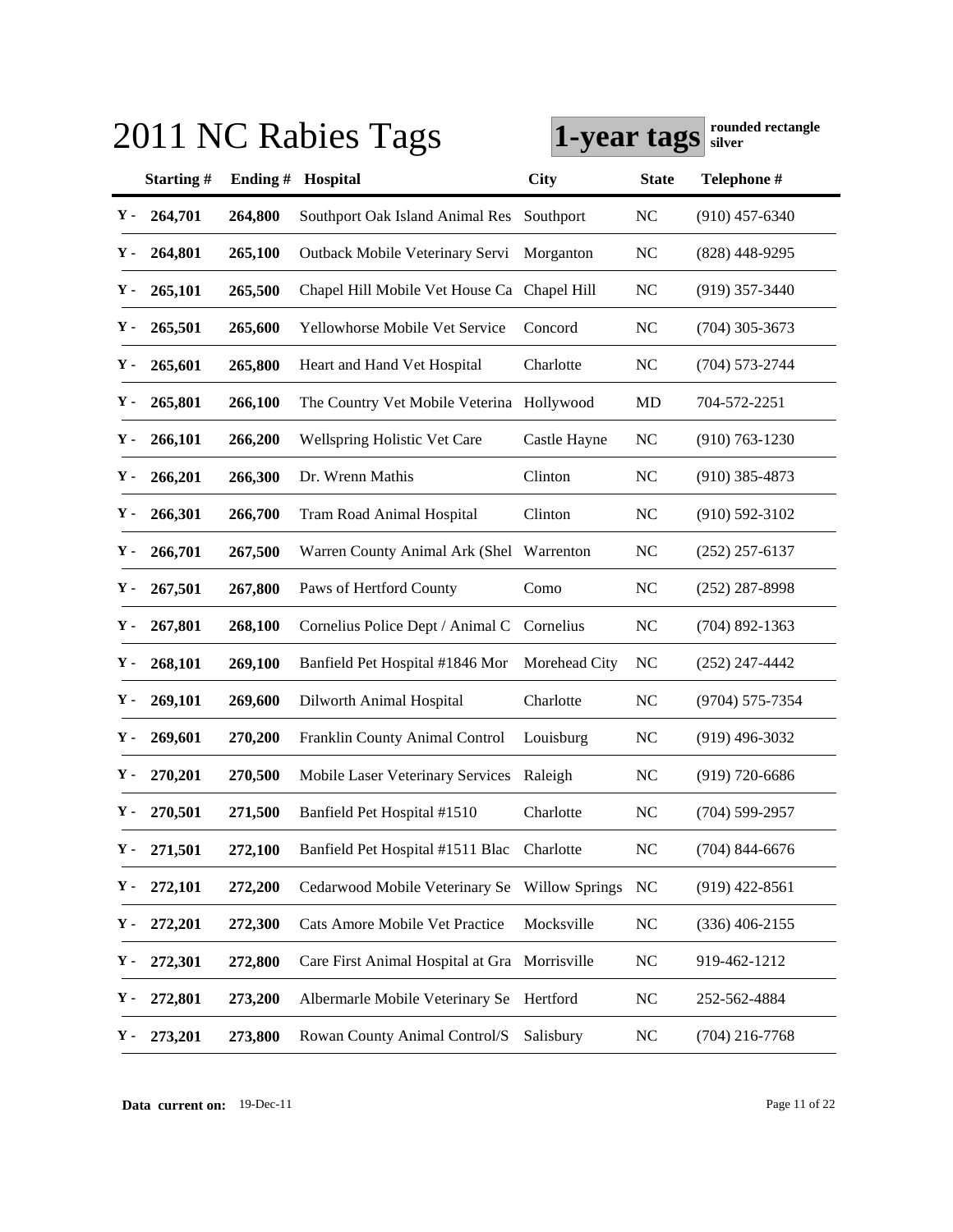| 2011 NC Rabies Tags |         |                                               | rounded rectangle<br>1-year tags<br>silver |                |                    |
|---------------------|---------|-----------------------------------------------|--------------------------------------------|----------------|--------------------|
| Starting#           | Ending# | Hospital                                      | City                                       | <b>State</b>   | Telephone #        |
| 264,701<br>Υ-       | 264,800 | Southport Oak Island Animal Res               | Southport                                  | <b>NC</b>      | $(910)$ 457-6340   |
| 264,801<br>Y -      | 265,100 | Outback Mobile Veterinary Servi               | Morganton                                  | <b>NC</b>      | $(828)$ 448-9295   |
| 265,101<br>Υ.       | 265,500 | Chapel Hill Mobile Vet House Ca Chapel Hill   |                                            | <b>NC</b>      | $(919)$ 357-3440   |
| 265,501<br>Y -      | 265,600 | Yellowhorse Mobile Vet Service                | Concord                                    | NC             | $(704)$ 305-3673   |
| 265,601<br>у.       | 265,800 | Heart and Hand Vet Hospital                   | Charlotte                                  | <b>NC</b>      | $(704) 573 - 2744$ |
| 265,801<br>Υ.       | 266,100 | The Country Vet Mobile Veterina Hollywood     |                                            | MD             | 704-572-2251       |
| 266,101<br>Υ.       | 266,200 | Wellspring Holistic Vet Care                  | Castle Hayne                               | NC             | $(910) 763 - 1230$ |
| 266,201<br>Υ.       | 266,300 | Dr. Wrenn Mathis                              | Clinton                                    | NC             | $(910)$ 385-4873   |
| 266,301<br>Υ.       | 266,700 | <b>Tram Road Animal Hospital</b>              | Clinton                                    | <b>NC</b>      | $(910) 592 - 3102$ |
| 266,701<br>Υ.       | 267,500 | Warren County Animal Ark (Shel                | Warrenton                                  | <b>NC</b>      | $(252)$ 257-6137   |
| 267,501<br>Υ.       | 267,800 | Paws of Hertford County                       | Como                                       | <b>NC</b>      | $(252)$ 287-8998   |
| 267,801<br>Υ.       | 268,100 | Cornelius Police Dept / Animal C              | Cornelius                                  | NC             | $(704)$ 892-1363   |
| 268,101<br>Υ.       | 269,100 | Banfield Pet Hospital #1846 Mor               | Morehead City                              | NC             | $(252)$ 247-4442   |
| 269,101<br>Υ.       | 269,600 | Dilworth Animal Hospital                      | Charlotte                                  | N <sub>C</sub> | (9704) 575-7354    |
| 269,601<br>Υ.       | 270,200 | Franklin County Animal Control                | Louisburg                                  | <b>NC</b>      | $(919)$ 496-3032   |
| 270,201<br>Υ.       | 270,500 | Mobile Laser Veterinary Services              | Raleigh                                    | <b>NC</b>      | $(919) 720 - 6686$ |
| Y -<br>270,501      | 271,500 | Banfield Pet Hospital #1510                   | Charlotte                                  | NC             | $(704)$ 599-2957   |
| 271,501<br>Υ.       | 272,100 | Banfield Pet Hospital #1511 Blac              | Charlotte                                  | <b>NC</b>      | $(704)$ 844-6676   |
| Υ-<br>272,101       | 272,200 | Cedarwood Mobile Veterinary Se                | <b>Willow Springs</b>                      | NC             | $(919)$ 422-8561   |
| Υ-<br>272,201       | 272,300 | Cats Amore Mobile Vet Practice                | Mocksville                                 | N <sub>C</sub> | $(336)$ 406-2155   |
| Υ.<br>272,301       | 272,800 | Care First Animal Hospital at Gra Morrisville |                                            | <b>NC</b>      | 919-462-1212       |
| Υ.<br>272,801       | 273,200 | Albermarle Mobile Veterinary Se               | Hertford                                   | <b>NC</b>      | 252-562-4884       |
| 273,201<br>Υ.       | 273,800 | Rowan County Animal Control/S                 | Salisbury                                  | N <sub>C</sub> | $(704)$ 216-7768   |

**Data current on:** 19-Dec-11 Page 11 of 22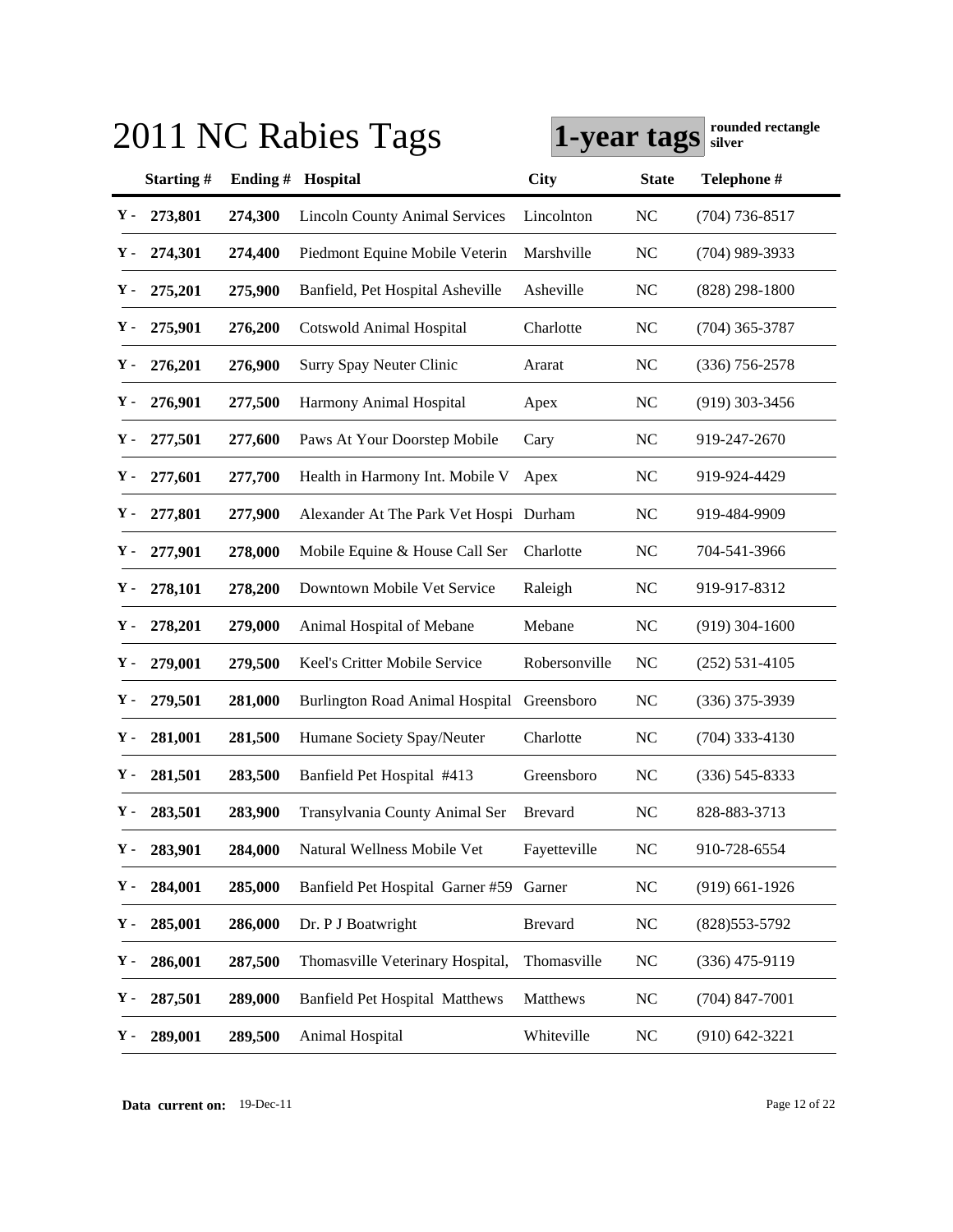|    | 2011 NC Rabies Tags |            |                                        | rounded rectangle<br>1-year tags<br>silver |              |                    |
|----|---------------------|------------|----------------------------------------|--------------------------------------------|--------------|--------------------|
|    | Starting#           | Ending $#$ | Hospital                               | <b>City</b>                                | <b>State</b> | Telephone #        |
| Υ- | 273,801             | 274,300    | <b>Lincoln County Animal Services</b>  | Lincolnton                                 | <b>NC</b>    | $(704)$ 736-8517   |
| Υ. | 274,301             | 274,400    | Piedmont Equine Mobile Veterin         | Marshville                                 | <b>NC</b>    | $(704)$ 989-3933   |
| Υ. | 275,201             | 275,900    | Banfield, Pet Hospital Asheville       | Asheville                                  | <b>NC</b>    | $(828) 298 - 1800$ |
| Υ. | 275,901             | 276,200    | <b>Cotswold Animal Hospital</b>        | Charlotte                                  | <b>NC</b>    | $(704)$ 365-3787   |
| Υ. | 276,201             | 276,900    | Surry Spay Neuter Clinic               | Ararat                                     | <b>NC</b>    | $(336)$ 756-2578   |
| Υ. | 276,901             | 277,500    | Harmony Animal Hospital                | Apex                                       | <b>NC</b>    | $(919)$ 303-3456   |
| Υ. | 277,501             | 277,600    | Paws At Your Doorstep Mobile           | Cary                                       | <b>NC</b>    | 919-247-2670       |
| Υ. | 277,601             | 277,700    | Health in Harmony Int. Mobile V        | Apex                                       | <b>NC</b>    | 919-924-4429       |
| Υ. | 277,801             | 277,900    | Alexander At The Park Vet Hospi Durham |                                            | <b>NC</b>    | 919-484-9909       |
| Υ. | 277,901             | 278,000    | Mobile Equine & House Call Ser         | Charlotte                                  | <b>NC</b>    | 704-541-3966       |
| Υ. | 278,101             | 278,200    | Downtown Mobile Vet Service            | Raleigh                                    | <b>NC</b>    | 919-917-8312       |
| Υ. | 278,201             | 279,000    | Animal Hospital of Mebane              | Mebane                                     | <b>NC</b>    | $(919)$ 304-1600   |
| Υ. | 279,001             | 279,500    | Keel's Critter Mobile Service          | Robersonville                              | NC           | $(252) 531 - 4105$ |
| у. | 279,501             | 281,000    | <b>Burlington Road Animal Hospital</b> | Greensboro                                 | <b>NC</b>    | $(336)$ 375-3939   |
| Υ. | 281,001             | 281,500    | Humane Society Spay/Neuter             | Charlotte                                  | <b>NC</b>    | $(704)$ 333-4130   |
| Υ. | 281,501             | 283,500    | Banfield Pet Hospital #413             | Greensboro                                 | <b>NC</b>    | $(336)$ 545-8333   |
| Υ. | 283,501             | 283,900    | Transylvania County Animal Ser         | <b>Brevard</b>                             | NC           | 828-883-3713       |
| Υ. | 283,901             | 284,000    | Natural Wellness Mobile Vet            | Fayetteville                               | <b>NC</b>    | 910-728-6554       |
| Υ. | 284,001             | 285,000    | Banfield Pet Hospital Garner #59       | Garner                                     | <b>NC</b>    | $(919)$ 661-1926   |
| Υ. | 285,001             | 286,000    | Dr. P J Boatwright                     | <b>Brevard</b>                             | <b>NC</b>    | (828) 553-5792     |
| Υ. | 286,001             | 287,500    | Thomasville Veterinary Hospital,       | Thomasville                                | <b>NC</b>    | $(336)$ 475-9119   |
| Υ. | 287,501             | 289,000    | <b>Banfield Pet Hospital Matthews</b>  | Matthews                                   | <b>NC</b>    | $(704)$ 847-7001   |
| Υ. | 289,001             | 289,500    | Animal Hospital                        | Whiteville                                 | <b>NC</b>    | $(910)$ 642-3221   |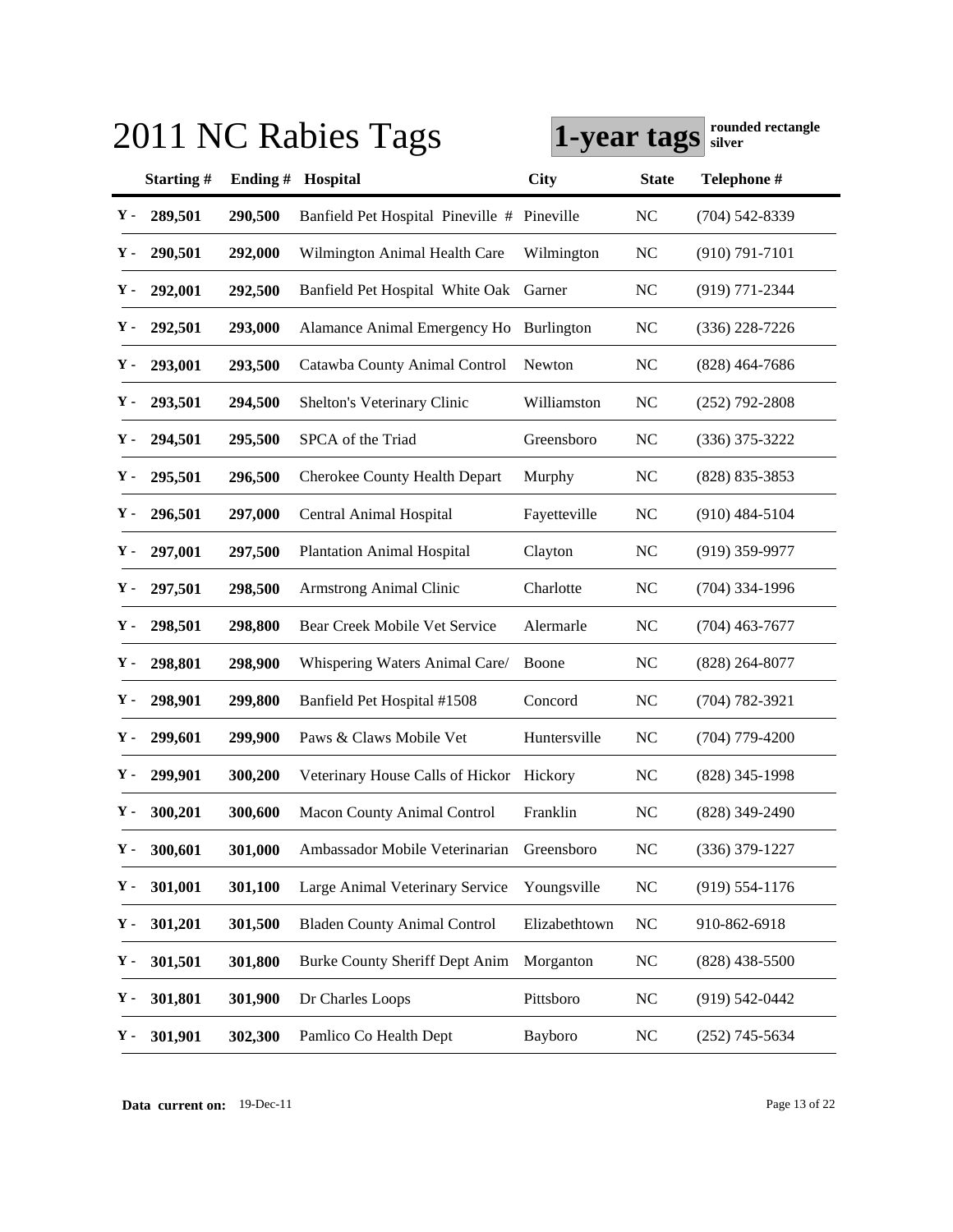|             |           |            | 2011 NC Rabies Tags                         | 1-year tags   |                | rounded rectangle<br>silver |
|-------------|-----------|------------|---------------------------------------------|---------------|----------------|-----------------------------|
|             | Starting# | Ending $#$ | Hospital                                    | <b>City</b>   | <b>State</b>   | Telephone #                 |
| Υ-          | 289,501   | 290,500    | Banfield Pet Hospital Pineville # Pineville |               | <b>NC</b>      | $(704) 542 - 8339$          |
| Υ.          | 290,501   | 292,000    | Wilmington Animal Health Care               | Wilmington    | <b>NC</b>      | $(910) 791 - 7101$          |
| Υ.          | 292,001   | 292,500    | Banfield Pet Hospital White Oak             | Garner        | <b>NC</b>      | $(919)$ 771-2344            |
| Υ.          | 292,501   | 293,000    | Alamance Animal Emergency Ho                | Burlington    | <b>NC</b>      | $(336)$ 228-7226            |
| Υ.          | 293,001   | 293,500    | Catawba County Animal Control               | Newton        | <b>NC</b>      | $(828)$ 464-7686            |
| Υ.          | 293,501   | 294,500    | Shelton's Veterinary Clinic                 | Williamston   | <b>NC</b>      | $(252)$ 792-2808            |
| Υ.          | 294,501   | 295,500    | SPCA of the Triad                           | Greensboro    | <b>NC</b>      | $(336)$ 375-3222            |
| Υ.          | 295,501   | 296,500    | Cherokee County Health Depart               | Murphy        | <b>NC</b>      | (828) 835-3853              |
| у.          | 296,501   | 297,000    | <b>Central Animal Hospital</b>              | Fayetteville  | NC             | $(910)$ 484-5104            |
| у.          | 297,001   | 297,500    | <b>Plantation Animal Hospital</b>           | Clayton       | <b>NC</b>      | $(919)$ 359-9977            |
| Υ.          | 297,501   | 298,500    | Armstrong Animal Clinic                     | Charlotte     | <b>NC</b>      | $(704)$ 334-1996            |
| Υ.          | 298,501   | 298,800    | Bear Creek Mobile Vet Service               | Alermarle     | NC             | $(704)$ 463-7677            |
| у.          | 298,801   | 298,900    | Whispering Waters Animal Care/              | Boone         | NC             | $(828)$ 264-8077            |
| у.          | 298,901   | 299,800    | Banfield Pet Hospital #1508                 | Concord       | <b>NC</b>      | $(704) 782 - 3921$          |
| у.          | 299,601   | 299,900    | Paws & Claws Mobile Vet                     | Huntersville  | <b>NC</b>      | $(704)$ 779-4200            |
| Υ.          | 299,901   | 300,200    | Veterinary House Calls of Hickor            | Hickory       | <b>NC</b>      | $(828)$ 345-1998            |
| Υ-          | 300,201   | 300,600    | Macon County Animal Control                 | Franklin      | NC             | (828) 349-2490              |
| Υ.          | 300,601   | 301,000    | Ambassador Mobile Veterinarian              | Greensboro    | <b>NC</b>      | $(336)$ 379-1227            |
| ${\bf Y}$ - | 301,001   | 301,100    | Large Animal Veterinary Service             | Youngsville   | <b>NC</b>      | $(919)$ 554-1176            |
| Υ.          | 301,201   | 301,500    | <b>Bladen County Animal Control</b>         | Elizabethtown | <b>NC</b>      | 910-862-6918                |
| Υ.          | 301,501   | 301,800    | <b>Burke County Sheriff Dept Anim</b>       | Morganton     | <b>NC</b>      | $(828)$ 438-5500            |
| Υ.          | 301,801   | 301,900    | Dr Charles Loops                            | Pittsboro     | <b>NC</b>      | $(919)$ 542-0442            |
| Υ.          | 301,901   | 302,300    | Pamlico Co Health Dept                      | Bayboro       | N <sub>C</sub> | $(252)$ 745-5634            |

**Data current on:** 19-Dec-11 Page 13 of 22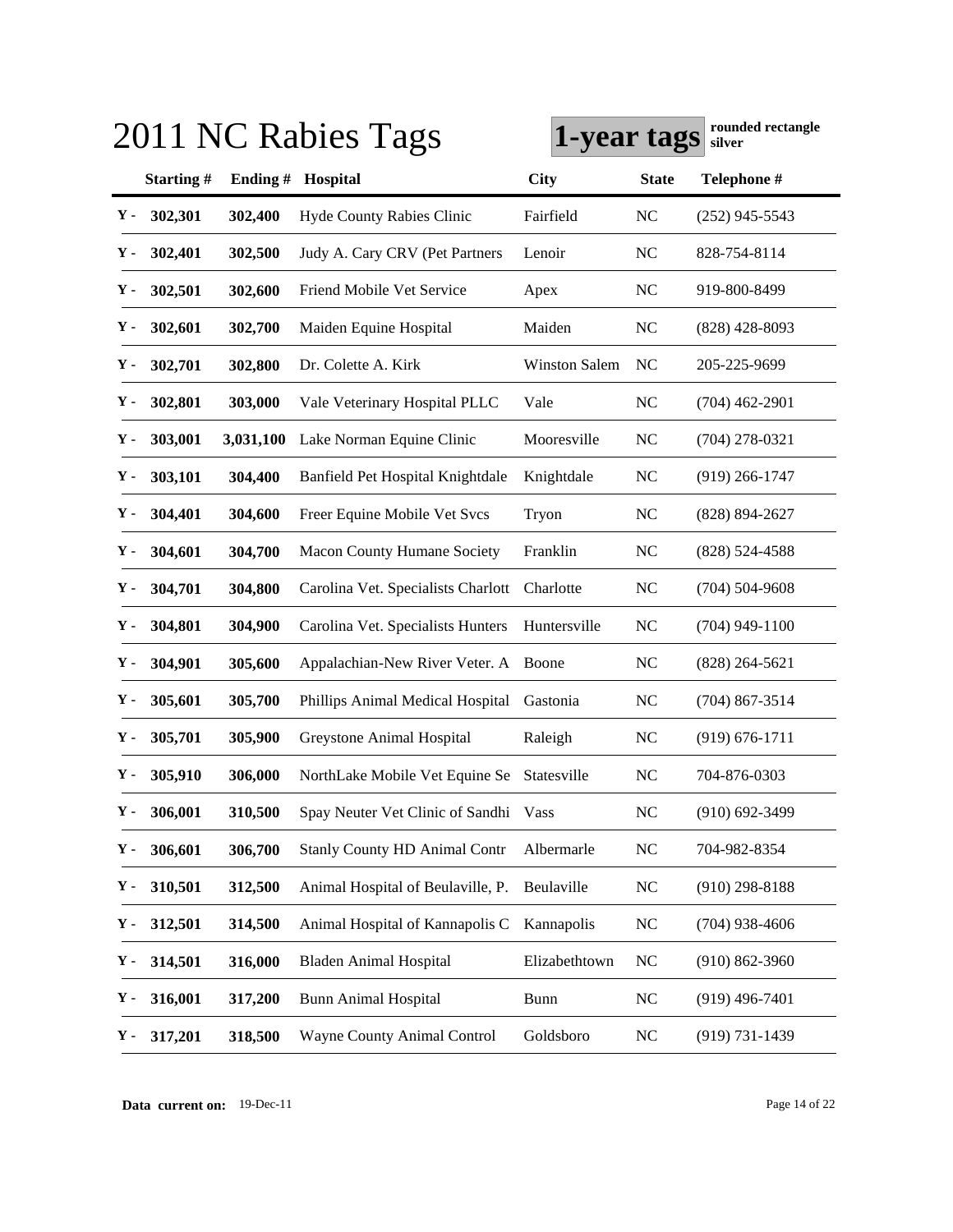|                |           | 2011 NC Rabies Tags                   | rounded rectangle<br>1-year tags<br>silver |              |                    |
|----------------|-----------|---------------------------------------|--------------------------------------------|--------------|--------------------|
| Starting#      | Ending#   | Hospital                              | <b>City</b>                                | <b>State</b> | Telephone #        |
| 302,301<br>Υ-  | 302,400   | Hyde County Rabies Clinic             | Fairfield                                  | NC           | $(252)$ 945-5543   |
| 302,401<br>Υ.  | 302,500   | Judy A. Cary CRV (Pet Partners        | Lenoir                                     | <b>NC</b>    | 828-754-8114       |
| 302,501<br>Υ.  | 302,600   | Friend Mobile Vet Service             | Apex                                       | NC           | 919-800-8499       |
| 302,601<br>Υ.  | 302,700   | Maiden Equine Hospital                | Maiden                                     | <b>NC</b>    | $(828)$ 428-8093   |
| 302,701<br>Υ.  | 302,800   | Dr. Colette A. Kirk                   | <b>Winston Salem</b>                       | <b>NC</b>    | 205-225-9699       |
| 302,801<br>Υ.  | 303,000   | Vale Veterinary Hospital PLLC         | Vale                                       | <b>NC</b>    | $(704)$ 462-2901   |
| 303,001<br>Υ.  | 3,031,100 | Lake Norman Equine Clinic             | Mooresville                                | <b>NC</b>    | $(704)$ 278-0321   |
| 303,101<br>Υ.  | 304,400   | Banfield Pet Hospital Knightdale      | Knightdale                                 | <b>NC</b>    | $(919)$ 266-1747   |
| 304,401<br>Υ.  | 304,600   | Freer Equine Mobile Vet Svcs          | Tryon                                      | <b>NC</b>    | (828) 894-2627     |
| 304,601<br>Υ.  | 304,700   | Macon County Humane Society           | Franklin                                   | <b>NC</b>    | $(828) 524 - 4588$ |
| 304,701<br>Υ.  | 304,800   | Carolina Vet. Specialists Charlott    | Charlotte                                  | <b>NC</b>    | $(704) 504 - 9608$ |
| 304,801<br>Υ.  | 304,900   | Carolina Vet. Specialists Hunters     | Huntersville                               | NC           | $(704)$ 949-1100   |
| 304,901<br>Υ.  | 305,600   | Appalachian-New River Veter. A        | Boone                                      | NC           | $(828)$ 264-5621   |
| 305,601<br>Υ.  | 305,700   | Phillips Animal Medical Hospital      | Gastonia                                   | <b>NC</b>    | $(704)$ 867-3514   |
| 305,701<br>Υ.  | 305,900   | Greystone Animal Hospital             | Raleigh                                    | <b>NC</b>    | $(919) 676 - 1711$ |
| 305,910<br>Υ.  | 306,000   | NorthLake Mobile Vet Equine Se        | Statesville                                | <b>NC</b>    | 704-876-0303       |
| 306,001<br>Υ - | 310,500   | Spay Neuter Vet Clinic of Sandhi Vass |                                            | NC           | $(910) 692 - 3499$ |
| Υ.<br>306,601  | 306,700   | <b>Stanly County HD Animal Contr</b>  | Albermarle                                 | <b>NC</b>    | 704-982-8354       |
| Υ.<br>310,501  | 312,500   | Animal Hospital of Beulaville, P.     | Beulaville                                 | <b>NC</b>    | $(910)$ 298-8188   |
| Υ.<br>312,501  | 314,500   | Animal Hospital of Kannapolis C       | Kannapolis                                 | <b>NC</b>    | $(704)$ 938-4606   |
| Υ.<br>314,501  | 316,000   | <b>Bladen Animal Hospital</b>         | Elizabethtown                              | <b>NC</b>    | $(910) 862 - 3960$ |
| Υ.<br>316,001  | 317,200   | <b>Bunn Animal Hospital</b>           | <b>Bunn</b>                                | <b>NC</b>    | $(919)$ 496-7401   |
| Υ.<br>317,201  | 318,500   | Wayne County Animal Control           | Goldsboro                                  | <b>NC</b>    | $(919) 731 - 1439$ |

**Data current on:** 19-Dec-11 Page 14 of 22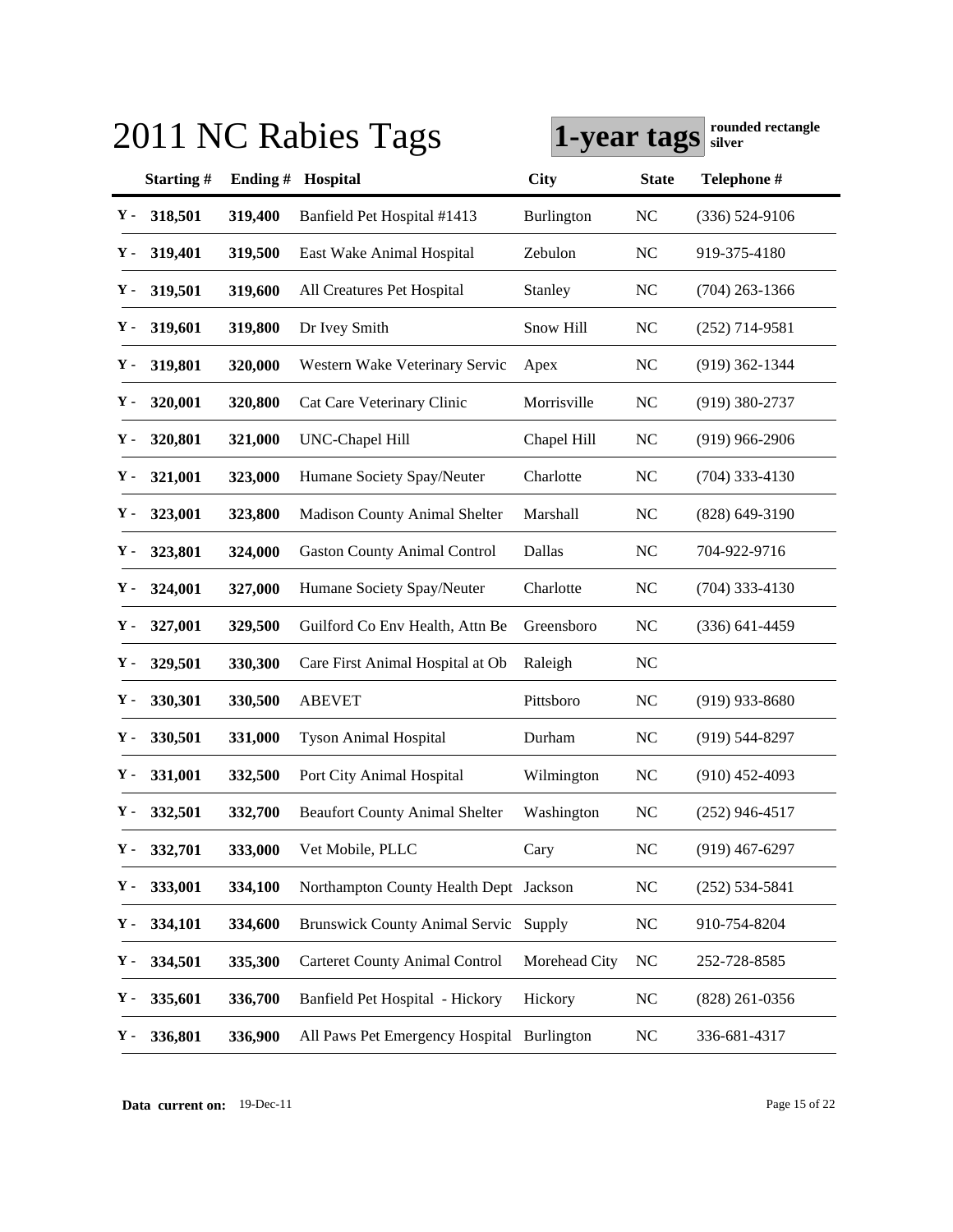|    |               |         | 2011 NC Rabies Tags                        | 1-year tags       |                | rounded rectangle<br>silver |
|----|---------------|---------|--------------------------------------------|-------------------|----------------|-----------------------------|
|    | Starting#     | Ending# | Hospital                                   | City              | <b>State</b>   | Telephone #                 |
| Υ- | 318,501       | 319,400 | Banfield Pet Hospital #1413                | <b>Burlington</b> | <b>NC</b>      | $(336) 524-9106$            |
| Υ. | 319,401       | 319,500 | East Wake Animal Hospital                  | Zebulon           | N <sub>C</sub> | 919-375-4180                |
| Υ- | 319,501       | 319,600 | All Creatures Pet Hospital                 | Stanley           | <b>NC</b>      | $(704)$ 263-1366            |
| Υ- | 319,601       | 319,800 | Dr Ivey Smith                              | Snow Hill         | N <sub>C</sub> | $(252)$ 714-9581            |
| Υ- | 319,801       | 320,000 | Western Wake Veterinary Servic             | Apex              | <b>NC</b>      | $(919)$ 362-1344            |
| Υ. | 320,001       | 320,800 | Cat Care Veterinary Clinic                 | Morrisville       | <b>NC</b>      | $(919)$ 380-2737            |
| Υ- | 320,801       | 321,000 | UNC-Chapel Hill                            | Chapel Hill       | <b>NC</b>      | $(919)$ 966-2906            |
| Υ- | 321,001       | 323,000 | Humane Society Spay/Neuter                 | Charlotte         | <b>NC</b>      | $(704)$ 333-4130            |
| Υ- | 323,001       | 323,800 | <b>Madison County Animal Shelter</b>       | Marshall          | <b>NC</b>      | $(828)$ 649-3190            |
| Υ. | 323,801       | 324,000 | <b>Gaston County Animal Control</b>        | Dallas            | N <sub>C</sub> | 704-922-9716                |
| Υ- | 324,001       | 327,000 | Humane Society Spay/Neuter                 | Charlotte         | <b>NC</b>      | $(704)$ 333-4130            |
| Υ- | 327,001       | 329,500 | Guilford Co Env Health, Attn Be            | Greensboro        | <b>NC</b>      | $(336)$ 641-4459            |
| Υ- | 329,501       | 330,300 | Care First Animal Hospital at Ob           | Raleigh           | <b>NC</b>      |                             |
| Υ- | 330,301       | 330,500 | <b>ABEVET</b>                              | Pittsboro         | <b>NC</b>      | $(919)$ 933-8680            |
| Υ. | 330,501       | 331,000 | <b>Tyson Animal Hospital</b>               | Durham            | <b>NC</b>      | $(919) 544 - 8297$          |
| Υ. | 331,001       | 332,500 | Port City Animal Hospital                  | Wilmington        | <b>NC</b>      | $(910)$ 452-4093            |
|    | $Y - 332,501$ | 332,700 | <b>Beaufort County Animal Shelter</b>      | Washington        | NC             | $(252)$ 946-4517            |
| Υ. | 332,701       | 333,000 | Vet Mobile, PLLC                           | Cary              | <b>NC</b>      | $(919)$ 467-6297            |
| Υ. | 333,001       | 334,100 | Northampton County Health Dept Jackson     |                   | <b>NC</b>      | $(252) 534 - 5841$          |
| Υ. | 334,101       | 334,600 | Brunswick County Animal Servic Supply      |                   | <b>NC</b>      | 910-754-8204                |
| Υ. | 334,501       | 335,300 | <b>Carteret County Animal Control</b>      | Morehead City     | <b>NC</b>      | 252-728-8585                |
| Υ. | 335,601       | 336,700 | Banfield Pet Hospital - Hickory            | Hickory           | <b>NC</b>      | $(828)$ 261-0356            |
| Υ. | 336,801       | 336,900 | All Paws Pet Emergency Hospital Burlington |                   | <b>NC</b>      | 336-681-4317                |

**Data current on:** 19-Dec-11 Page 15 of 22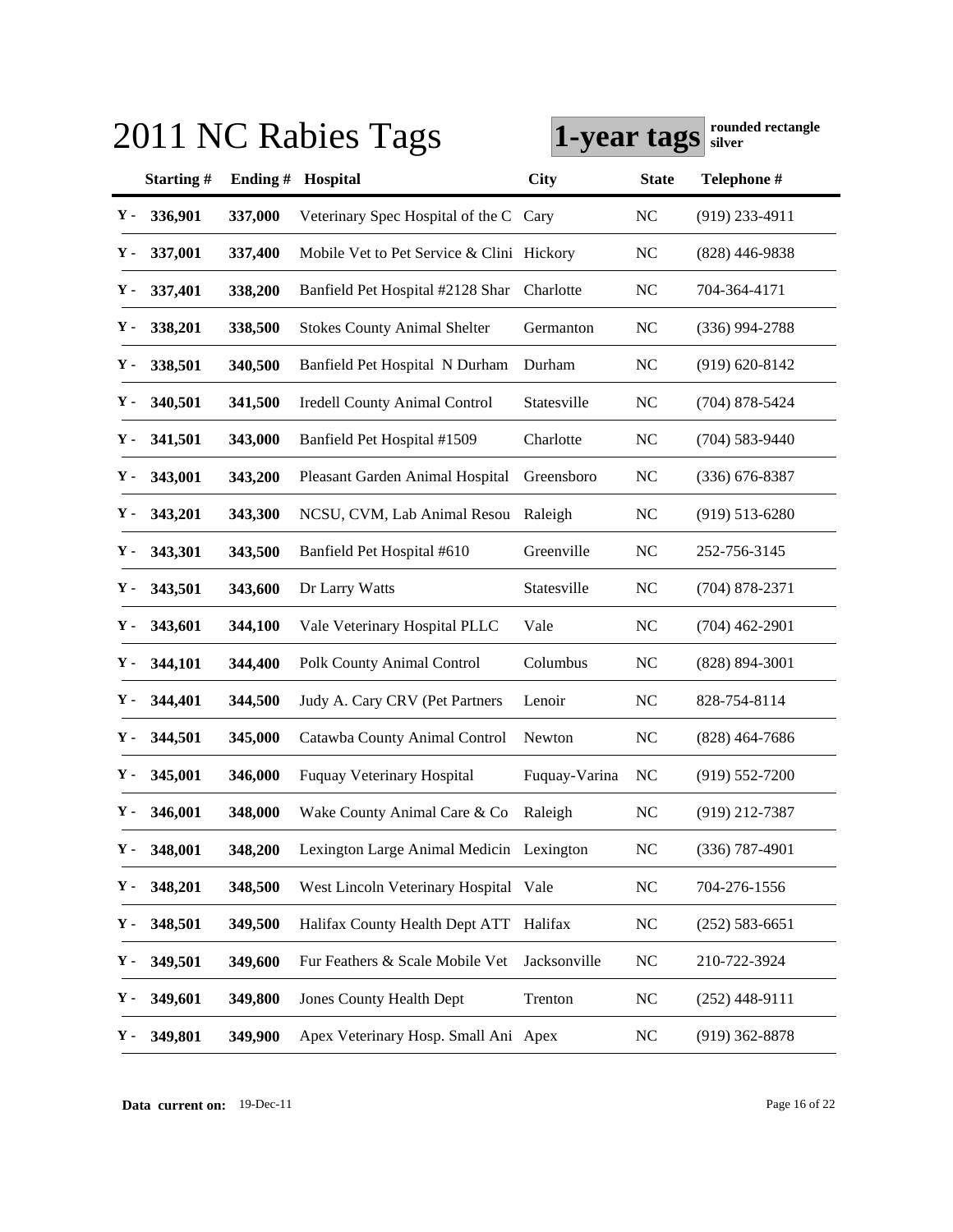|    |               |         | 2011 NC Rabies Tags                       | 1-year tags   |                | rounded rectangle<br>silver |
|----|---------------|---------|-------------------------------------------|---------------|----------------|-----------------------------|
|    | Starting#     | Ending# | Hospital                                  | <b>City</b>   | <b>State</b>   | Telephone #                 |
| Υ- | 336,901       | 337,000 | Veterinary Spec Hospital of the C         | Cary          | <b>NC</b>      | $(919)$ 233-4911            |
| Υ- | 337,001       | 337,400 | Mobile Vet to Pet Service & Clini Hickory |               | <b>NC</b>      | $(828)$ 446-9838            |
| Υ- | 337,401       | 338,200 | Banfield Pet Hospital #2128 Shar          | Charlotte     | <b>NC</b>      | 704-364-4171                |
| Υ- | 338,201       | 338,500 | <b>Stokes County Animal Shelter</b>       | Germanton     | <b>NC</b>      | $(336)$ 994-2788            |
| Υ- | 338,501       | 340,500 | Banfield Pet Hospital N Durham            | Durham        | N <sub>C</sub> | $(919) 620 - 8142$          |
| Υ- | 340,501       | 341,500 | <b>Iredell County Animal Control</b>      | Statesville   | <b>NC</b>      | $(704)$ 878-5424            |
| Υ- | 341,501       | 343,000 | Banfield Pet Hospital #1509               | Charlotte     | <b>NC</b>      | $(704) 583 - 9440$          |
| Υ- | 343,001       | 343,200 | Pleasant Garden Animal Hospital           | Greensboro    | <b>NC</b>      | $(336)$ 676-8387            |
| Υ- | 343,201       | 343,300 | NCSU, CVM, Lab Animal Resou               | Raleigh       | <b>NC</b>      | $(919) 513 - 6280$          |
| Υ- | 343,301       | 343,500 | Banfield Pet Hospital #610                | Greenville    | <b>NC</b>      | 252-756-3145                |
| Υ. | 343,501       | 343,600 | Dr Larry Watts                            | Statesville   | <b>NC</b>      | $(704)$ 878-2371            |
| Υ. | 343,601       | 344,100 | Vale Veterinary Hospital PLLC             | Vale          | <b>NC</b>      | $(704)$ 462-2901            |
| Υ. | 344,101       | 344,400 | Polk County Animal Control                | Columbus      | <b>NC</b>      | $(828) 894 - 3001$          |
| Υ. | 344,401       | 344,500 | Judy A. Cary CRV (Pet Partners            | Lenoir        | <b>NC</b>      | 828-754-8114                |
| Υ. | 344,501       | 345,000 | Catawba County Animal Control             | Newton        | <b>NC</b>      | $(828)$ 464-7686            |
| Υ. | 345,001       | 346,000 | <b>Fuquay Veterinary Hospital</b>         | Fuquay-Varina | <b>NC</b>      | $(919) 552 - 7200$          |
|    | $Y - 346,001$ | 348,000 | Wake County Animal Care & Co              | Raleigh       | NC             | $(919)$ 212-7387            |
| Υ. | 348,001       | 348,200 | Lexington Large Animal Medicin Lexington  |               | <b>NC</b>      | $(336)$ 787-4901            |
| Υ. | 348,201       | 348,500 | West Lincoln Veterinary Hospital Vale     |               | <b>NC</b>      | 704-276-1556                |
| Υ. | 348,501       | 349,500 | Halifax County Health Dept ATT            | Halifax       | <b>NC</b>      | $(252) 583 - 6651$          |
| Υ- | 349,501       | 349,600 | Fur Feathers & Scale Mobile Vet           | Jacksonville  | <b>NC</b>      | 210-722-3924                |
| Υ. | 349,601       | 349,800 | <b>Jones County Health Dept</b>           | Trenton       | <b>NC</b>      | $(252)$ 448-9111            |
| Υ. | 349,801       | 349,900 | Apex Veterinary Hosp. Small Ani Apex      |               | <b>NC</b>      | $(919)$ 362-8878            |

**Data current on:** 19-Dec-11 Page 16 of 22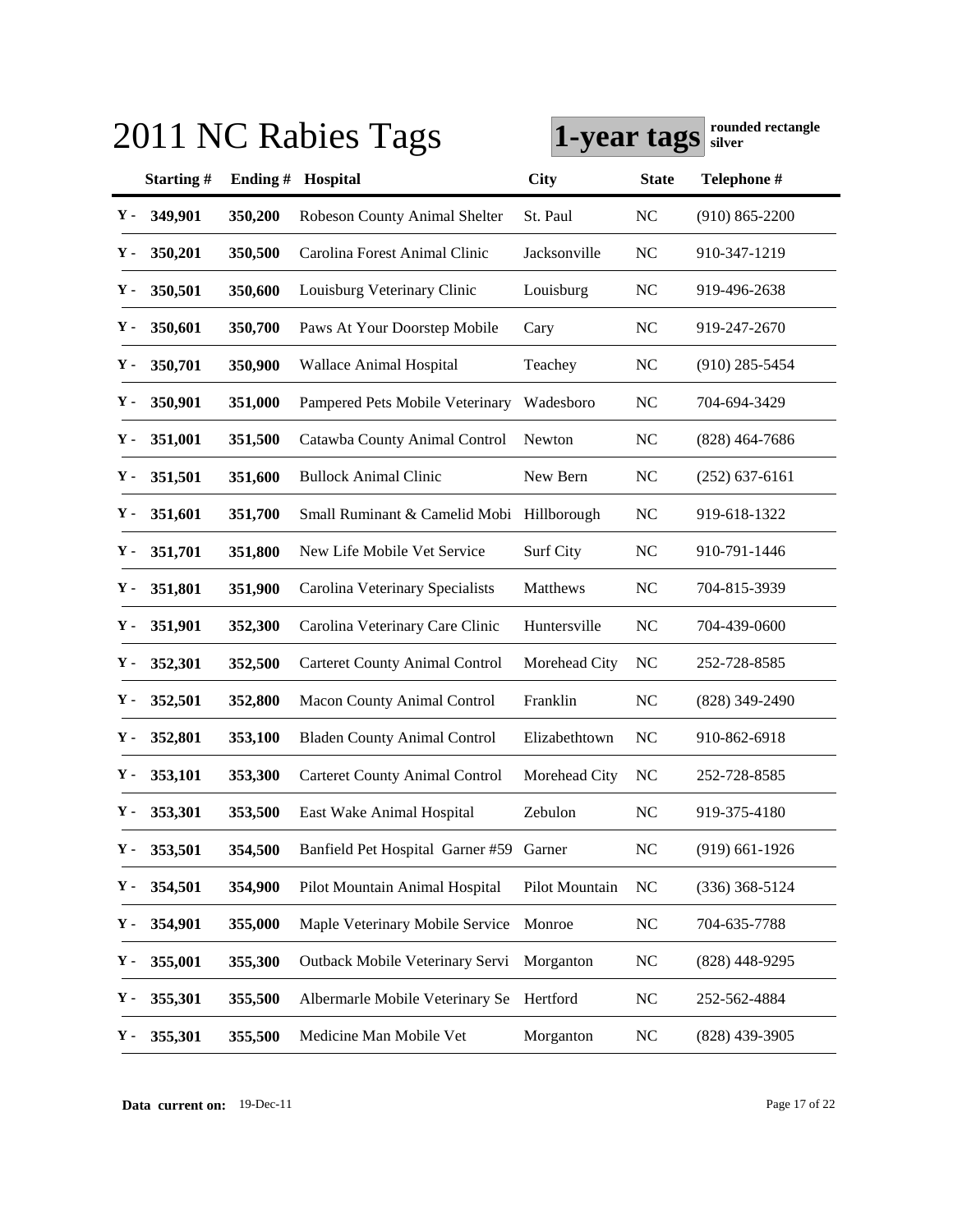|    |               |            | 2011 NC Rabies Tags                       | 1-year tags    |                | rounded rectangle<br>silver |
|----|---------------|------------|-------------------------------------------|----------------|----------------|-----------------------------|
|    | Starting#     | Ending $#$ | Hospital                                  | City           | <b>State</b>   | Telephone #                 |
| Υ- | 349,901       | 350,200    | Robeson County Animal Shelter             | St. Paul       | <b>NC</b>      | $(910) 865 - 2200$          |
| Υ- | 350,201       | 350,500    | Carolina Forest Animal Clinic             | Jacksonville   | N <sub>C</sub> | 910-347-1219                |
| Υ- | 350,501       | 350,600    | Louisburg Veterinary Clinic               | Louisburg      | <b>NC</b>      | 919-496-2638                |
| Υ- | 350,601       | 350,700    | Paws At Your Doorstep Mobile              | Cary           | N <sub>C</sub> | 919-247-2670                |
| Υ- | 350,701       | 350,900    | Wallace Animal Hospital                   | Teachey        | <b>NC</b>      | $(910)$ 285-5454            |
| Υ- | 350,901       | 351,000    | Pampered Pets Mobile Veterinary           | Wadesboro      | N <sub>C</sub> | 704-694-3429                |
| Υ- | 351,001       | 351,500    | Catawba County Animal Control             | Newton         | <b>NC</b>      | (828) 464-7686              |
| Υ- | 351,501       | 351,600    | <b>Bullock Animal Clinic</b>              | New Bern       | <b>NC</b>      | $(252)$ 637-6161            |
| Υ- | 351,601       | 351,700    | Small Ruminant & Camelid Mobi Hillborough |                | NC             | 919-618-1322                |
| Υ- | 351,701       | 351,800    | New Life Mobile Vet Service               | Surf City      | <b>NC</b>      | 910-791-1446                |
| Υ- | 351,801       | 351,900    | Carolina Veterinary Specialists           | Matthews       | N <sub>C</sub> | 704-815-3939                |
| Υ- | 351,901       | 352,300    | Carolina Veterinary Care Clinic           | Huntersville   | N <sub>C</sub> | 704-439-0600                |
| Υ- | 352,301       | 352,500    | <b>Carteret County Animal Control</b>     | Morehead City  | <b>NC</b>      | 252-728-8585                |
| Υ- | 352,501       | 352,800    | <b>Macon County Animal Control</b>        | Franklin       | <b>NC</b>      | $(828)$ 349-2490            |
| Υ- | 352,801       | 353,100    | <b>Bladen County Animal Control</b>       | Elizabethtown  | N <sub>C</sub> | 910-862-6918                |
| Υ- | 353,101       | 353,300    | <b>Carteret County Animal Control</b>     | Morehead City  | <b>NC</b>      | 252-728-8585                |
|    | $Y - 353,301$ | 353,500    | East Wake Animal Hospital                 | Zebulon        | NC             | 919-375-4180                |
| Υ. | 353,501       | 354,500    | Banfield Pet Hospital Garner #59 Garner   |                | <b>NC</b>      | $(919)$ 661-1926            |
| Υ. | 354,501       | 354,900    | Pilot Mountain Animal Hospital            | Pilot Mountain | <b>NC</b>      | $(336)$ 368-5124            |
| Υ. | 354,901       | 355,000    | Maple Veterinary Mobile Service           | Monroe         | NC             | 704-635-7788                |
| Υ. | 355,001       | 355,300    | Outback Mobile Veterinary Servi           | Morganton      | <b>NC</b>      | (828) 448-9295              |
| Υ. | 355,301       | 355,500    | Albermarle Mobile Veterinary Se           | Hertford       | NC             | 252-562-4884                |
| Υ. | 355,301       | 355,500    | Medicine Man Mobile Vet                   | Morganton      | <b>NC</b>      | (828) 439-3905              |

**Data current on:** 19-Dec-11 Page 17 of 22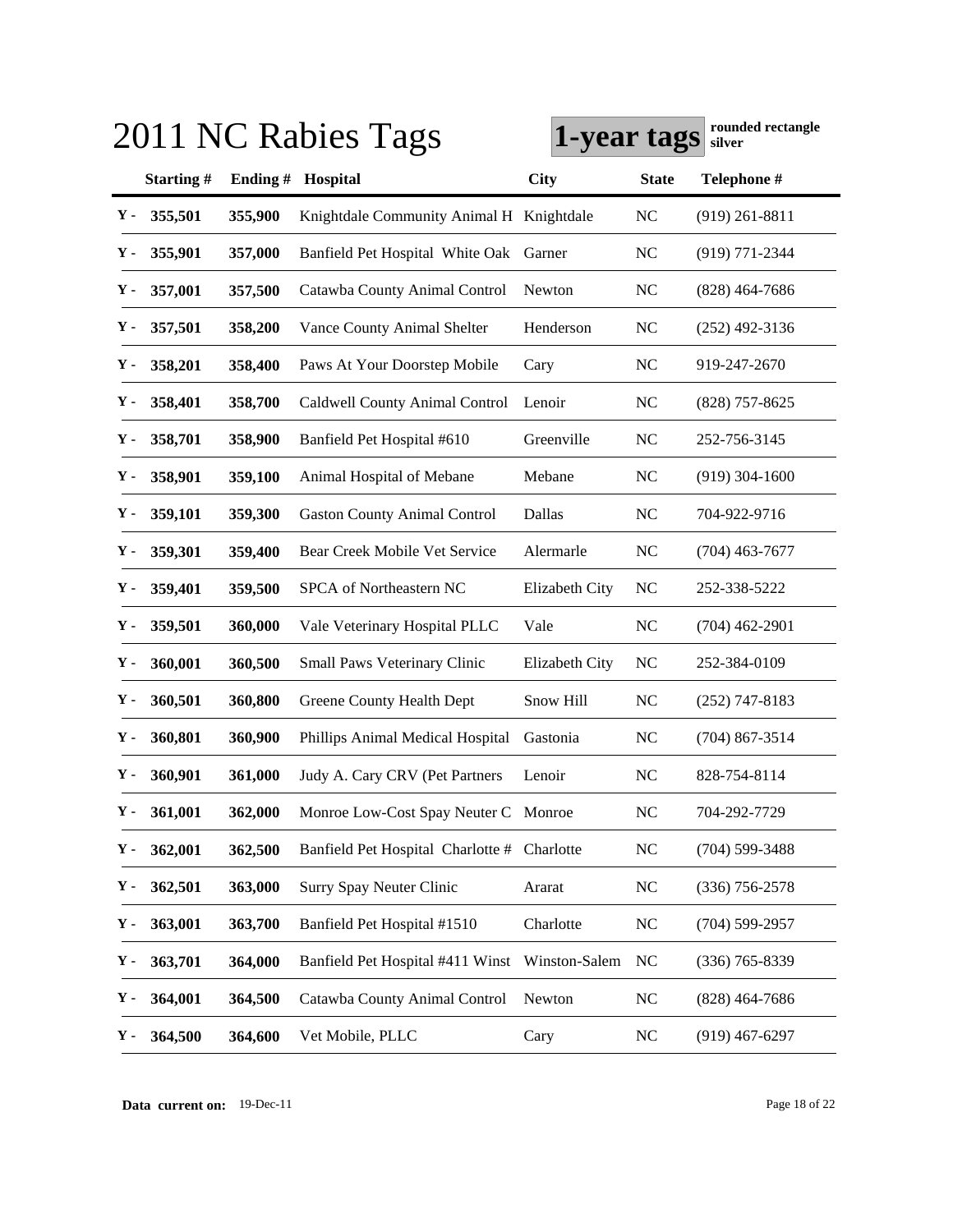|    |               |            | 2011 NC Rabies Tags                         | 1-year tags    |                | rounded rectangle<br>silver |
|----|---------------|------------|---------------------------------------------|----------------|----------------|-----------------------------|
|    | Starting#     | Ending $#$ | Hospital                                    | City           | <b>State</b>   | Telephone #                 |
| Υ- | 355,501       | 355,900    | Knightdale Community Animal H Knightdale    |                | <b>NC</b>      | $(919)$ 261-8811            |
| у. | 355,901       | 357,000    | Banfield Pet Hospital White Oak             | Garner         | N <sub>C</sub> | (919) 771-2344              |
| Υ- | 357,001       | 357,500    | Catawba County Animal Control               | Newton         | N <sub>C</sub> | $(828)$ 464-7686            |
| Υ- | 357,501       | 358,200    | Vance County Animal Shelter                 | Henderson      | N <sub>C</sub> | $(252)$ 492-3136            |
| Υ- | 358,201       | 358,400    | Paws At Your Doorstep Mobile                | Cary           | N <sub>C</sub> | 919-247-2670                |
| Υ. | 358,401       | 358,700    | Caldwell County Animal Control              | Lenoir         | N <sub>C</sub> | $(828)$ 757-8625            |
| Υ- | 358,701       | 358,900    | Banfield Pet Hospital #610                  | Greenville     | NC             | 252-756-3145                |
| Υ- | 358,901       | 359,100    | Animal Hospital of Mebane                   | Mebane         | <b>NC</b>      | $(919)$ 304-1600            |
| Υ- | 359,101       | 359,300    | <b>Gaston County Animal Control</b>         | Dallas         | N <sub>C</sub> | 704-922-9716                |
| Υ. | 359,301       | 359,400    | Bear Creek Mobile Vet Service               | Alermarle      | N <sub>C</sub> | (704) 463-7677              |
| Υ- | 359,401       | 359,500    | SPCA of Northeastern NC                     | Elizabeth City | <b>NC</b>      | 252-338-5222                |
| Υ- | 359,501       | 360,000    | Vale Veterinary Hospital PLLC               | Vale           | <b>NC</b>      | (704) 462-2901              |
| Υ- | 360,001       | 360,500    | Small Paws Veterinary Clinic                | Elizabeth City | NC             | 252-384-0109                |
| Υ. | 360,501       | 360,800    | Greene County Health Dept                   | Snow Hill      | <b>NC</b>      | $(252)$ 747-8183            |
| Υ. | 360,801       | 360,900    | Phillips Animal Medical Hospital            | Gastonia       | <b>NC</b>      | $(704)$ 867-3514            |
| Υ. | 360,901       | 361,000    | Judy A. Cary CRV (Pet Partners              | Lenoir         | <b>NC</b>      | 828-754-8114                |
|    | $Y - 361,001$ | 362,000    | Monroe Low-Cost Spay Neuter C Monroe        |                | NC             | 704-292-7729                |
| Υ. | 362,001       | 362,500    | Banfield Pet Hospital Charlotte # Charlotte |                | NC             | $(704) 599 - 3488$          |
| Υ. | 362,501       | 363,000    | Surry Spay Neuter Clinic                    | Ararat         | <b>NC</b>      | $(336)$ 756-2578            |
| Υ. | 363,001       | 363,700    | Banfield Pet Hospital #1510                 | Charlotte      | <b>NC</b>      | (704) 599-2957              |
| Υ. | 363,701       | 364,000    | Banfield Pet Hospital #411 Winst            | Winston-Salem  | <b>NC</b>      | (336) 765-8339              |
| Υ. | 364,001       | 364,500    | Catawba County Animal Control               | Newton         | <b>NC</b>      | $(828)$ 464-7686            |
| Υ. | 364,500       | 364,600    | Vet Mobile, PLLC                            | Cary           | <b>NC</b>      | $(919)$ 467-6297            |

**Data current on:** 19-Dec-11 Page 18 of 22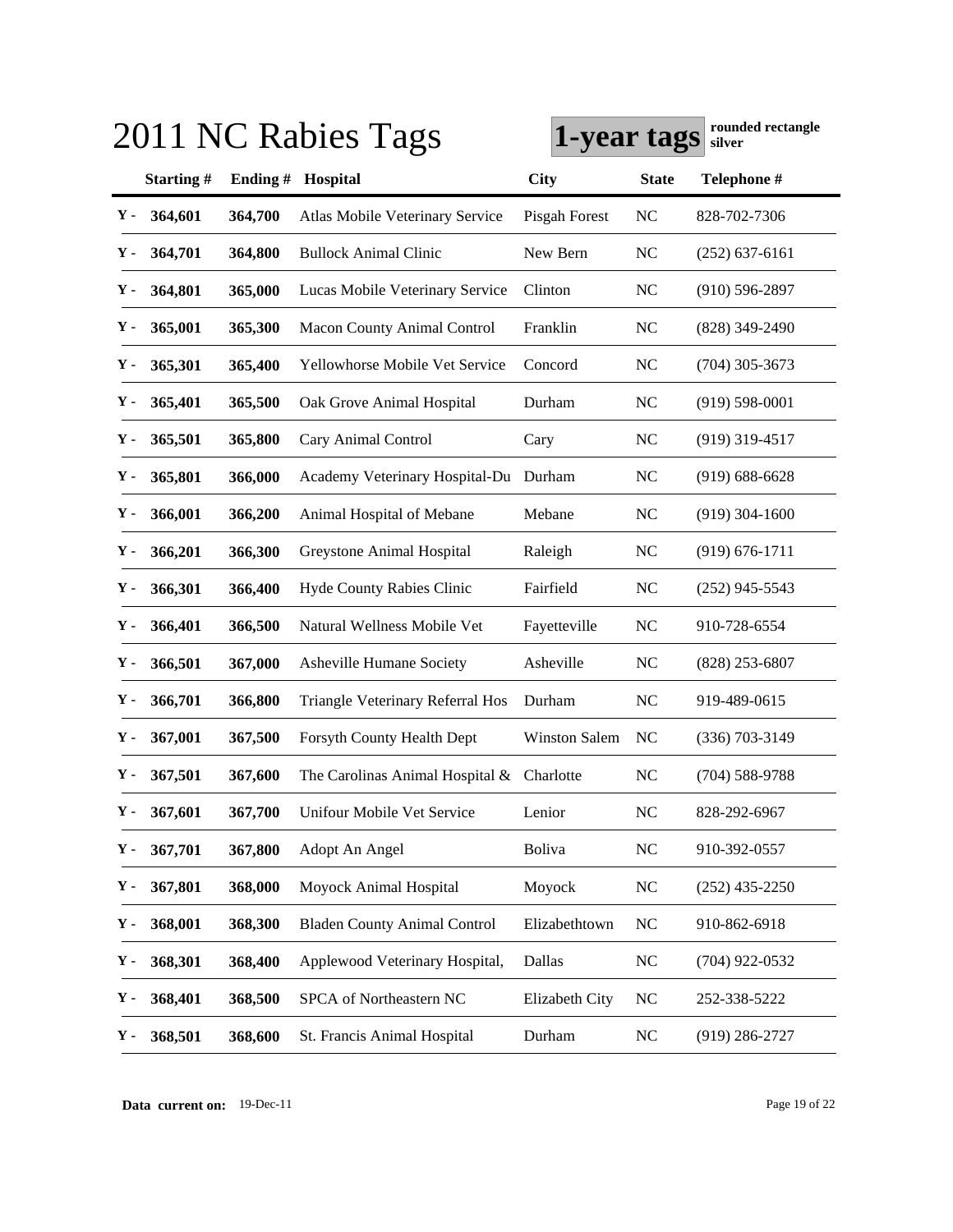|     | 2011 NC Rabies Tags |         |                                     | rounded rectangle<br>1-year tags<br>silver |                |                    |
|-----|---------------------|---------|-------------------------------------|--------------------------------------------|----------------|--------------------|
|     | Starting#           | Ending# | Hospital                            | City                                       | <b>State</b>   | Telephone #        |
| Υ-  | 364,601             | 364,700 | Atlas Mobile Veterinary Service     | Pisgah Forest                              | NC             | 828-702-7306       |
| Υ.  | 364,701             | 364,800 | <b>Bullock Animal Clinic</b>        | New Bern                                   | NC             | $(252)$ 637-6161   |
| Υ.  | 364,801             | 365,000 | Lucas Mobile Veterinary Service     | Clinton                                    | NC             | $(910) 596 - 2897$ |
| Υ.  | 365,001             | 365,300 | <b>Macon County Animal Control</b>  | Franklin                                   | NC             | (828) 349-2490     |
| Υ.  | 365,301             | 365,400 | Yellowhorse Mobile Vet Service      | Concord                                    | NC             | $(704)$ 305-3673   |
| Υ.  | 365,401             | 365,500 | Oak Grove Animal Hospital           | Durham                                     | <b>NC</b>      | $(919) 598 - 0001$ |
| Υ.  | 365,501             | 365,800 | Cary Animal Control                 | Cary                                       | N <sub>C</sub> | $(919)$ 319-4517   |
| Υ.  | 365,801             | 366,000 | Academy Veterinary Hospital-Du      | Durham                                     | N <sub>C</sub> | $(919) 688 - 6628$ |
| Υ.  | 366,001             | 366,200 | Animal Hospital of Mebane           | Mebane                                     | N <sub>C</sub> | $(919)$ 304-1600   |
| Υ.  | 366,201             | 366,300 | Greystone Animal Hospital           | Raleigh                                    | <b>NC</b>      | $(919) 676 - 1711$ |
| Υ.  | 366,301             | 366,400 | Hyde County Rabies Clinic           | Fairfield                                  | <b>NC</b>      | $(252)$ 945-5543   |
| Υ.  | 366,401             | 366,500 | Natural Wellness Mobile Vet         | Fayetteville                               | NC             | 910-728-6554       |
| Υ.  | 366,501             | 367,000 | Asheville Humane Society            | Asheville                                  | NC             | $(828)$ 253-6807   |
| Υ.  | 366,701             | 366,800 | Triangle Veterinary Referral Hos    | Durham                                     | <b>NC</b>      | 919-489-0615       |
| Υ.  | 367,001             | 367,500 | Forsyth County Health Dept          | <b>Winston Salem</b>                       | N <sub>C</sub> | $(336)$ 703-3149   |
| Υ.  | 367,501             | 367,600 | The Carolinas Animal Hospital &     | Charlotte                                  | <b>NC</b>      | $(704) 588 - 9788$ |
| Y - | 367,601             | 367,700 | Unifour Mobile Vet Service          | Lenior                                     | NC             | 828-292-6967       |
| Υ.  | 367,701             | 367,800 | Adopt An Angel                      | Boliva                                     | <b>NC</b>      | 910-392-0557       |
| Υ.  | 367,801             | 368,000 | Moyock Animal Hospital              | Moyock                                     | <b>NC</b>      | $(252)$ 435-2250   |
| Υ.  | 368,001             | 368,300 | <b>Bladen County Animal Control</b> | Elizabethtown                              | <b>NC</b>      | 910-862-6918       |
| Υ.  | 368,301             | 368,400 | Applewood Veterinary Hospital,      | Dallas                                     | <b>NC</b>      | $(704)$ 922-0532   |
| Υ.  | 368,401             | 368,500 | SPCA of Northeastern NC             | Elizabeth City                             | <b>NC</b>      | 252-338-5222       |
| Υ.  | 368,501             | 368,600 | St. Francis Animal Hospital         | Durham                                     | <b>NC</b>      | $(919)$ 286-2727   |

**Data current on:** 19-Dec-11 Page 19 of 22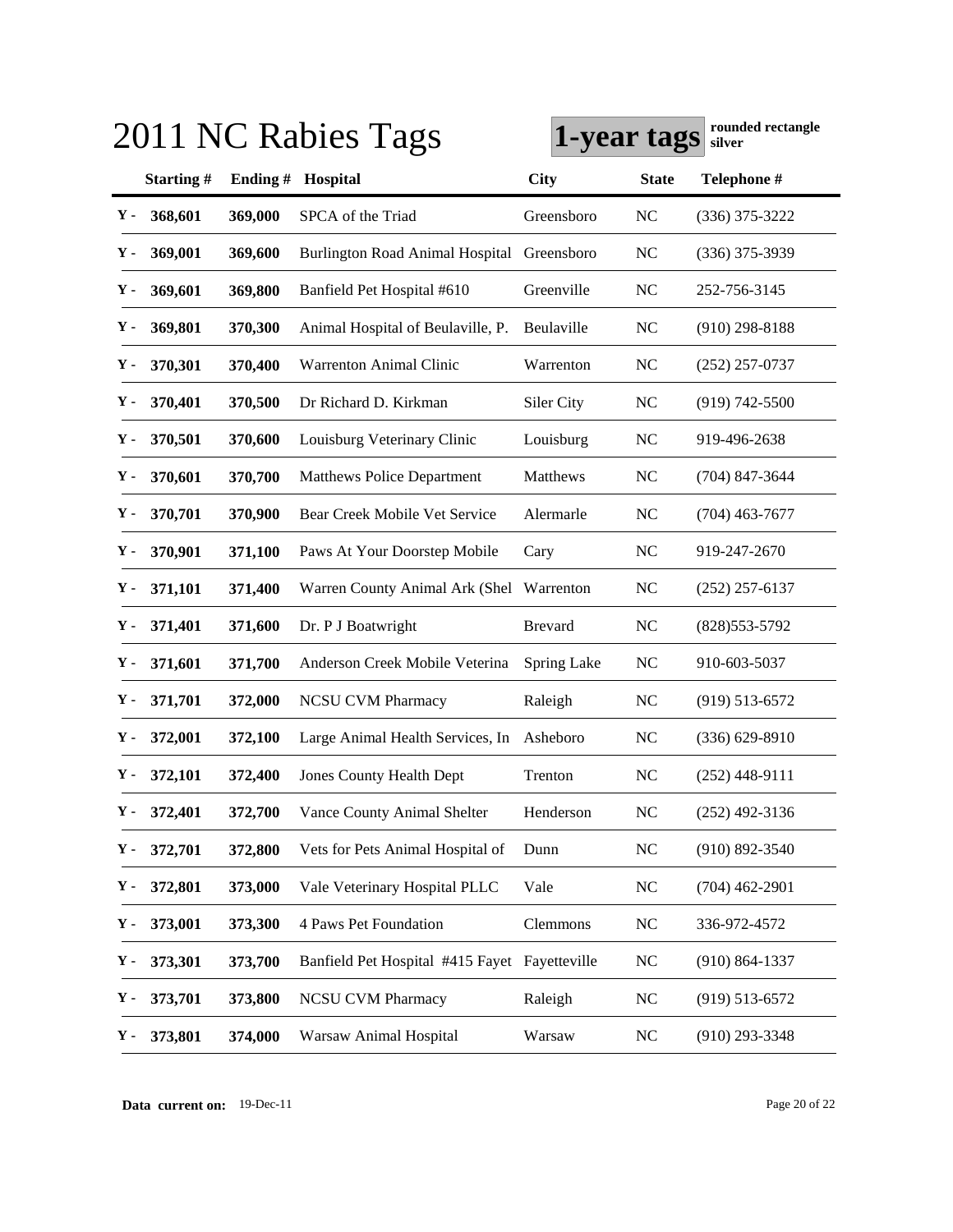|    |               |            | 2011 NC Rabies Tags                           |                | 1-year tags    | rounded rectangle<br>silver |
|----|---------------|------------|-----------------------------------------------|----------------|----------------|-----------------------------|
|    | Starting#     | Ending $#$ | Hospital                                      | City           | <b>State</b>   | Telephone #                 |
| Υ- | 368,601       | 369,000    | SPCA of the Triad                             | Greensboro     | <b>NC</b>      | $(336)$ 375-3222            |
| у. | 369,001       | 369,600    | <b>Burlington Road Animal Hospital</b>        | Greensboro     | <b>NC</b>      | $(336)$ 375-3939            |
| Υ- | 369,601       | 369,800    | Banfield Pet Hospital #610                    | Greenville     | NC             | 252-756-3145                |
| Υ- | 369,801       | 370,300    | Animal Hospital of Beulaville, P.             | Beulaville     | N <sub>C</sub> | $(910)$ 298-8188            |
| Υ- | 370,301       | 370,400    | <b>Warrenton Animal Clinic</b>                | Warrenton      | <b>NC</b>      | $(252)$ 257-0737            |
| Υ. | 370,401       | 370,500    | Dr Richard D. Kirkman                         | Siler City     | <b>NC</b>      | $(919) 742 - 5500$          |
| Υ- | 370,501       | 370,600    | Louisburg Veterinary Clinic                   | Louisburg      | <b>NC</b>      | 919-496-2638                |
| Υ- | 370,601       | 370,700    | <b>Matthews Police Department</b>             | Matthews       | <b>NC</b>      | $(704)$ 847-3644            |
| Υ- | 370,701       | 370,900    | Bear Creek Mobile Vet Service                 | Alermarle      | <b>NC</b>      | (704) 463-7677              |
| Υ. | 370,901       | 371,100    | Paws At Your Doorstep Mobile                  | Cary           | N <sub>C</sub> | 919-247-2670                |
| Υ. | 371,101       | 371,400    | Warren County Animal Ark (Shel                | Warrenton      | <b>NC</b>      | $(252)$ 257-6137            |
| Υ- | 371,401       | 371,600    | Dr. P J Boatwright                            | <b>Brevard</b> | <b>NC</b>      | $(828)$ 553-5792            |
| Υ- | 371,601       | 371,700    | Anderson Creek Mobile Veterina                | Spring Lake    | NC             | 910-603-5037                |
| Υ. | 371,701       | 372,000    | <b>NCSU CVM Pharmacy</b>                      | Raleigh        | NC             | $(919)$ 513-6572            |
| Υ. | 372,001       | 372,100    | Large Animal Health Services, In              | Asheboro       | <b>NC</b>      | $(336) 629 - 8910$          |
| Υ. | 372,101       | 372,400    | <b>Jones County Health Dept</b>               | Trenton        | <b>NC</b>      | $(252)$ 448-9111            |
|    | $Y - 372,401$ | 372,700    | Vance County Animal Shelter                   | Henderson      | NC             | $(252)$ 492-3136            |
| Υ. | 372,701       | 372,800    | Vets for Pets Animal Hospital of              | Dunn           | <b>NC</b>      | $(910) 892 - 3540$          |
| Υ. | 372,801       | 373,000    | Vale Veterinary Hospital PLLC                 | Vale           | <b>NC</b>      | $(704)$ 462-2901            |
| Υ. | 373,001       | 373,300    | 4 Paws Pet Foundation                         | Clemmons       | <b>NC</b>      | 336-972-4572                |
| Υ. | 373,301       | 373,700    | Banfield Pet Hospital #415 Fayet Fayetteville |                | <b>NC</b>      | $(910) 864 - 1337$          |
| Υ. | 373,701       | 373,800    | <b>NCSU CVM Pharmacy</b>                      | Raleigh        | <b>NC</b>      | $(919)$ 513-6572            |
| Υ. | 373,801       | 374,000    | Warsaw Animal Hospital                        | Warsaw         | <b>NC</b>      | $(910)$ 293-3348            |

**Data current on:** 19-Dec-11 Page 20 of 22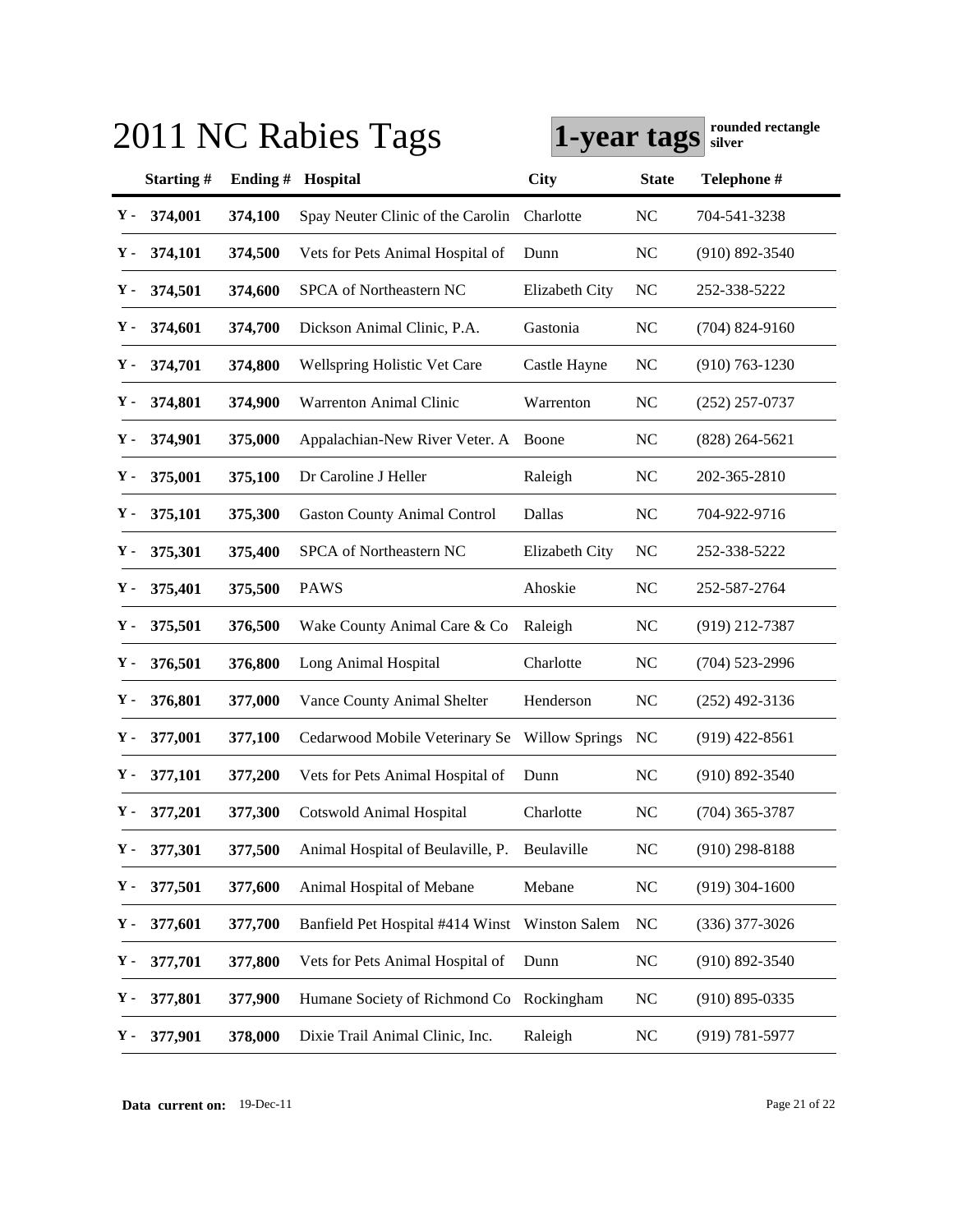|    |               |         | 2011 NC Rabies Tags                      | 1-year tags           |              | rounded rectangle<br>silver |
|----|---------------|---------|------------------------------------------|-----------------------|--------------|-----------------------------|
|    | Starting#     | Ending# | Hospital                                 | <b>City</b>           | <b>State</b> | Telephone #                 |
| Υ- | 374,001       | 374,100 | Spay Neuter Clinic of the Carolin        | Charlotte             | <b>NC</b>    | 704-541-3238                |
| Υ- | 374,101       | 374,500 | Vets for Pets Animal Hospital of         | Dunn                  | <b>NC</b>    | $(910) 892 - 3540$          |
| Υ- | 374,501       | 374,600 | SPCA of Northeastern NC                  | Elizabeth City        | <b>NC</b>    | 252-338-5222                |
| Υ. | 374,601       | 374,700 | Dickson Animal Clinic, P.A.              | Gastonia              | <b>NC</b>    | $(704)$ 824-9160            |
| Υ- | 374,701       | 374,800 | <b>Wellspring Holistic Vet Care</b>      | Castle Hayne          | <b>NC</b>    | $(910) 763 - 1230$          |
| Υ. | 374,801       | 374,900 | <b>Warrenton Animal Clinic</b>           | Warrenton             | <b>NC</b>    | $(252)$ 257-0737            |
| Υ- | 374,901       | 375,000 | Appalachian-New River Veter. A           | Boone                 | <b>NC</b>    | $(828)$ 264-5621            |
| Υ- | 375,001       | 375,100 | Dr Caroline J Heller                     | Raleigh               | <b>NC</b>    | 202-365-2810                |
| Υ. | 375,101       | 375,300 | <b>Gaston County Animal Control</b>      | Dallas                | <b>NC</b>    | 704-922-9716                |
| Υ. | 375,301       | 375,400 | SPCA of Northeastern NC                  | Elizabeth City        | NC           | 252-338-5222                |
| Υ. | 375,401       | 375,500 | <b>PAWS</b>                              | Ahoskie               | <b>NC</b>    | 252-587-2764                |
| Υ. | 375,501       | 376,500 | Wake County Animal Care & Co             | Raleigh               | <b>NC</b>    | $(919)$ 212-7387            |
| Υ. | 376,501       | 376,800 | Long Animal Hospital                     | Charlotte             | <b>NC</b>    | $(704)$ 523-2996            |
| Υ. | 376,801       | 377,000 | Vance County Animal Shelter              | Henderson             | <b>NC</b>    | $(252)$ 492-3136            |
| Υ. | 377,001       | 377,100 | Cedarwood Mobile Veterinary Se           | <b>Willow Springs</b> | NC           | $(919)$ 422-8561            |
| Υ. | 377,101       | 377,200 | Vets for Pets Animal Hospital of         | Dunn                  | <b>NC</b>    | $(910) 892 - 3540$          |
|    | $Y - 377,201$ | 377,300 | <b>Cotswold Animal Hospital</b>          | Charlotte             | NC           | $(704)$ 365-3787            |
| Υ. | 377,301       | 377,500 | Animal Hospital of Beulaville, P.        | Beulaville            | <b>NC</b>    | $(910)$ 298-8188            |
| Υ. | 377,501       | 377,600 | Animal Hospital of Mebane                | Mebane                | <b>NC</b>    | $(919)$ 304-1600            |
| Υ. | 377,601       | 377,700 | Banfield Pet Hospital #414 Winst         | Winston Salem         | <b>NC</b>    | $(336)$ 377-3026            |
| Υ- | 377,701       | 377,800 | Vets for Pets Animal Hospital of         | Dunn                  | NC           | $(910) 892 - 3540$          |
| Υ. | 377,801       | 377,900 | Humane Society of Richmond Co Rockingham |                       | <b>NC</b>    | $(910) 895 - 0335$          |
| Υ. | 377,901       | 378,000 | Dixie Trail Animal Clinic, Inc.          | Raleigh               | <b>NC</b>    | $(919) 781 - 5977$          |

**Data current on:** 19-Dec-11 Page 21 of 22